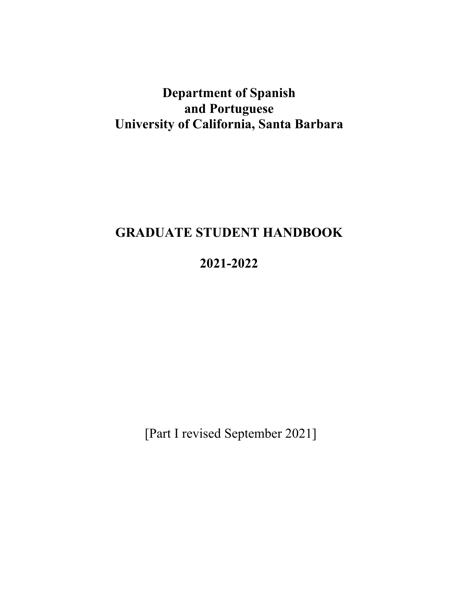# **Department of Spanish and Portuguese University of California, Santa Barbara**

# **GRADUATE STUDENT HANDBOOK**

# **2021-2022**

[Part I revised September 2021]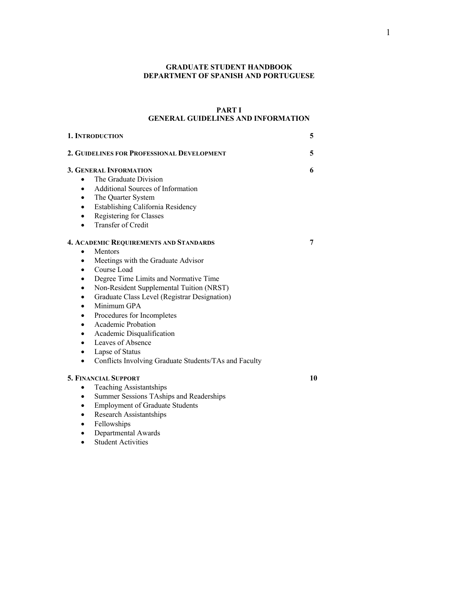# **GRADUATE STUDENT HANDBOOK DEPARTMENT OF SPANISH AND PORTUGUESE**

# **PART I GENERAL GUIDELINES AND INFORMATION**

| 1. INTRODUCTION                                                                                                                                                                                                                                                                                                                                                                                                                                                                                                                               | 5  |
|-----------------------------------------------------------------------------------------------------------------------------------------------------------------------------------------------------------------------------------------------------------------------------------------------------------------------------------------------------------------------------------------------------------------------------------------------------------------------------------------------------------------------------------------------|----|
| 2. GUIDELINES FOR PROFESSIONAL DEVELOPMENT                                                                                                                                                                                                                                                                                                                                                                                                                                                                                                    | 5  |
| <b>3. GENERAL INFORMATION</b><br>The Graduate Division<br>$\bullet$<br>Additional Sources of Information<br>$\bullet$<br>The Quarter System<br>٠<br>Establishing California Residency<br>٠<br>Registering for Classes<br>٠<br>Transfer of Credit<br>$\bullet$                                                                                                                                                                                                                                                                                 | 6  |
| <b>4. ACADEMIC REQUIREMENTS AND STANDARDS</b><br>Mentors<br>Meetings with the Graduate Advisor<br>٠<br>Course Load<br>$\bullet$<br>Degree Time Limits and Normative Time<br>$\bullet$<br>Non-Resident Supplemental Tuition (NRST)<br>٠<br>Graduate Class Level (Registrar Designation)<br>٠<br>Minimum GPA<br>٠<br>Procedures for Incompletes<br>$\bullet$<br>Academic Probation<br>$\bullet$<br>Academic Disqualification<br>Leaves of Absence<br>Lapse of Status<br>٠<br>Conflicts Involving Graduate Students/TAs and Faculty<br>$\bullet$ | 7  |
| <b>5. FINANCIAL SUPPORT</b><br><b>Teaching Assistantships</b><br>٠<br>Summer Sessions TAships and Readerships<br>٠<br><b>Employment of Graduate Students</b><br>Research Assistantships<br>٠<br>Fellowships<br>Departmental Awards                                                                                                                                                                                                                                                                                                            | 10 |

• Student Activities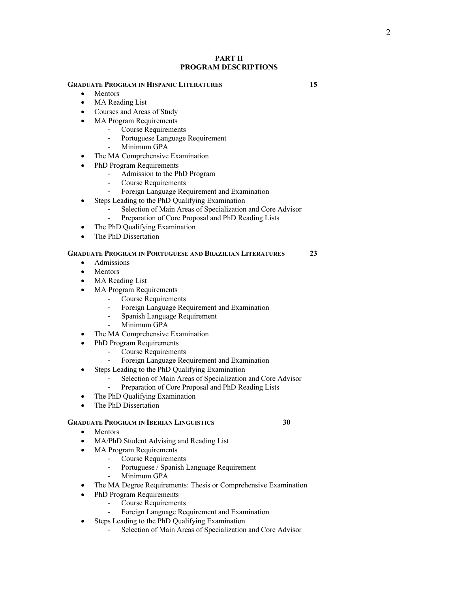#### **PART II PROGRAM DESCRIPTIONS**

#### **GRADUATE PROGRAM IN HISPANIC LITERATURES 15**

- Mentors
- MA Reading List
- Courses and Areas of Study
- MA Program Requirements
	- Course Requirements
	- Portuguese Language Requirement
	- Minimum GPA
- The MA Comprehensive Examination
- PhD Program Requirements
	- Admission to the PhD Program
	- Course Requirements
	- Foreign Language Requirement and Examination
- Steps Leading to the PhD Qualifying Examination
	- Selection of Main Areas of Specialization and Core Advisor
	- Preparation of Core Proposal and PhD Reading Lists
- The PhD Qualifying Examination
- The PhD Dissertation

# **GRADUATE PROGRAM IN PORTUGUESE AND BRAZILIAN LITERATURES 23**

- Admissions
- **Mentors**
- MA Reading List
- MA Program Requirements
	- Course Requirements
	- Foreign Language Requirement and Examination
	- Spanish Language Requirement
	- Minimum GPA
- The MA Comprehensive Examination
- PhD Program Requirements
	- Course Requirements
	- Foreign Language Requirement and Examination
- Steps Leading to the PhD Qualifying Examination
	- Selection of Main Areas of Specialization and Core Advisor
	- Preparation of Core Proposal and PhD Reading Lists
- The PhD Qualifying Examination
- The PhD Dissertation

#### **GRADUATE PROGRAM IN IBERIAN LINGUISTICS 30**

- Mentors
- MA/PhD Student Advising and Reading List
- MA Program Requirements
	- Course Requirements
	- Portuguese / Spanish Language Requirement
	- Minimum GPA
- The MA Degree Requirements: Thesis or Comprehensive Examination
- PhD Program Requirements
	- Course Requirements
	- Foreign Language Requirement and Examination
- Steps Leading to the PhD Qualifying Examination
	- Selection of Main Areas of Specialization and Core Advisor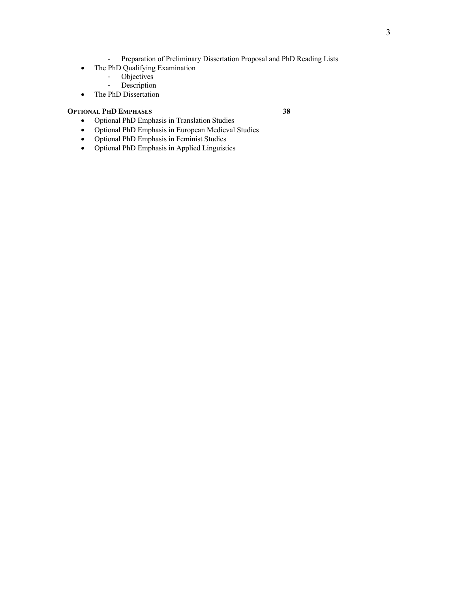- Preparation of Preliminary Dissertation Proposal and PhD Reading Lists
- The PhD Qualifying Examination
	- Objectives
	- Description
- The PhD Dissertation

# **OPTIONAL PHD EMPHASES 38**

- Optional PhD Emphasis in Translation Studies
- Optional PhD Emphasis in European Medieval Studies
- Optional PhD Emphasis in Feminist Studies
- Optional PhD Emphasis in Applied Linguistics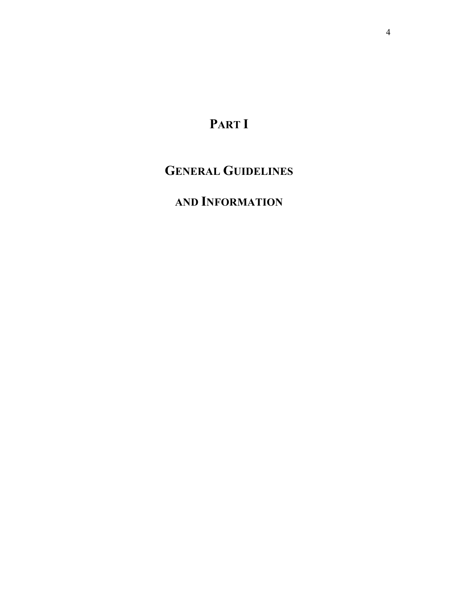# **PART I**

# **GENERAL GUIDELINES**

# **AND INFORMATION**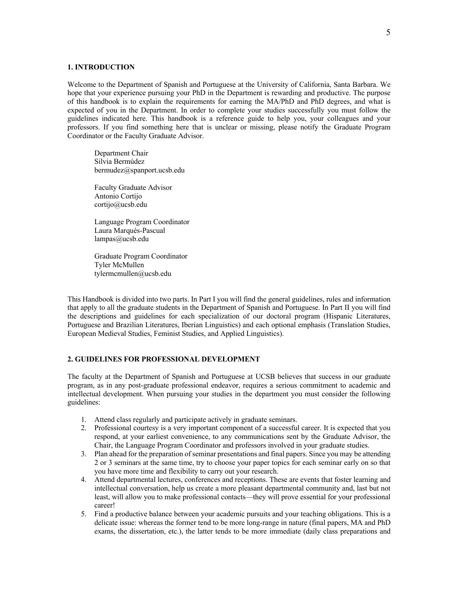#### **1. INTRODUCTION**

Welcome to the Department of Spanish and Portuguese at the University of California, Santa Barbara. We hope that your experience pursuing your PhD in the Department is rewarding and productive. The purpose of this handbook is to explain the requirements for earning the MA/PhD and PhD degrees, and what is expected of you in the Department. In order to complete your studies successfully you must follow the guidelines indicated here. This handbook is a reference guide to help you, your colleagues and your professors. If you find something here that is unclear or missing, please notify the Graduate Program Coordinator or the Faculty Graduate Advisor.

Department Chair Silvia Bermúdez bermudez@spanport.ucsb.edu

Faculty Graduate Advisor Antonio Cortijo cortijo@ucsb.edu

Language Program Coordinator Laura Marqués-Pascual lampas@ucsb.edu

Graduate Program Coordinator Tyler McMullen tylermcmullen@ucsb.edu

This Handbook is divided into two parts. In Part I you will find the general guidelines, rules and information that apply to all the graduate students in the Department of Spanish and Portuguese. In Part II you will find the descriptions and guidelines for each specialization of our doctoral program (Hispanic Literatures, Portuguese and Brazilian Literatures, Iberian Linguistics) and each optional emphasis (Translation Studies, European Medieval Studies, Feminist Studies, and Applied Linguistics).

#### **2. GUIDELINES FOR PROFESSIONAL DEVELOPMENT**

The faculty at the Department of Spanish and Portuguese at UCSB believes that success in our graduate program, as in any post-graduate professional endeavor, requires a serious commitment to academic and intellectual development. When pursuing your studies in the department you must consider the following guidelines:

- 1. Attend class regularly and participate actively in graduate seminars.
- 2. Professional courtesy is a very important component of a successful career. It is expected that you respond, at your earliest convenience, to any communications sent by the Graduate Advisor, the Chair, the Language Program Coordinator and professors involved in your graduate studies.
- 3. Plan ahead for the preparation of seminar presentations and final papers. Since you may be attending 2 or 3 seminars at the same time, try to choose your paper topics for each seminar early on so that you have more time and flexibility to carry out your research.
- 4. Attend departmental lectures, conferences and receptions. These are events that foster learning and intellectual conversation, help us create a more pleasant departmental community and, last but not least, will allow you to make professional contacts—they will prove essential for your professional career!
- 5. Find a productive balance between your academic pursuits and your teaching obligations. This is a delicate issue: whereas the former tend to be more long-range in nature (final papers, MA and PhD exams, the dissertation, etc.), the latter tends to be more immediate (daily class preparations and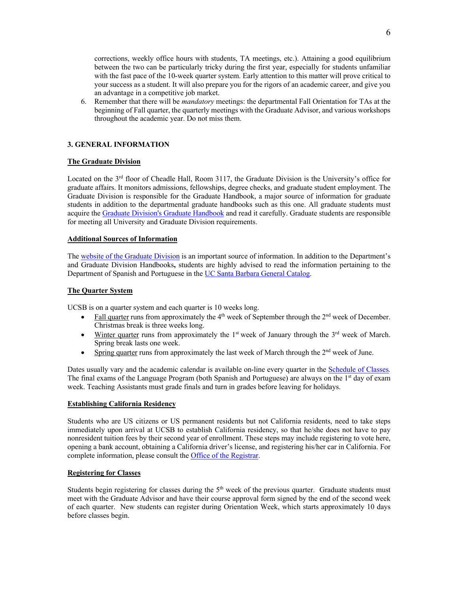corrections, weekly office hours with students, TA meetings, etc.). Attaining a good equilibrium between the two can be particularly tricky during the first year, especially for students unfamiliar with the fast pace of the 10-week quarter system. Early attention to this matter will prove critical to your success as a student. It will also prepare you for the rigors of an academic career, and give you an advantage in a competitive job market.

6. Remember that there will be *mandatory* meetings: the departmental Fall Orientation for TAs at the beginning of Fall quarter, the quarterly meetings with the Graduate Advisor, and various workshops throughout the academic year. Do not miss them.

# **3. GENERAL INFORMATION**

#### **The Graduate Division**

Located on the 3<sup>rd</sup> floor of Cheadle Hall, Room 3117, the Graduate Division is the University's office for graduate affairs. It monitors admissions, fellowships, degree checks, and graduate student employment. The Graduate Division is responsible for the Graduate Handbook, a major source of information for graduate students in addition to the departmental graduate handbooks such as this one. All graduate students must acquire the Graduate Division's Graduate Handbook and read it carefully. Graduate students are responsible for meeting all University and Graduate Division requirements.

#### **Additional Sources of Information**

The website of the Graduate Division is an important source of information. In addition to the Department's and Graduate Division Handbooks**,** students are highly advised to read the information pertaining to the Department of Spanish and Portuguese in the UC Santa Barbara General Catalog.

#### **The Quarter System**

UCSB is on a quarter system and each quarter is 10 weeks long.

- Fall quarter runs from approximately the  $4<sup>th</sup>$  week of September through the  $2<sup>nd</sup>$  week of December. Christmas break is three weeks long.
- Winter quarter runs from approximately the  $1<sup>st</sup>$  week of January through the  $3<sup>rd</sup>$  week of March. Spring break lasts one week.
- Spring quarter runs from approximately the last week of March through the  $2<sup>nd</sup>$  week of June.

Dates usually vary and the academic calendar is available on-line every quarter in the Schedule of Classes*.* The final exams of the Language Program (both Spanish and Portuguese) are always on the 1<sup>st</sup> day of exam week. Teaching Assistants must grade finals and turn in grades before leaving for holidays.

#### **Establishing California Residency**

Students who are US citizens or US permanent residents but not California residents, need to take steps immediately upon arrival at UCSB to establish California residency, so that he/she does not have to pay nonresident tuition fees by their second year of enrollment. These steps may include registering to vote here, opening a bank account, obtaining a California driver's license, and registering his/her car in California. For complete information, please consult the Office of the Registrar.

# **Registering for Classes**

Students begin registering for classes during the  $5<sup>th</sup>$  week of the previous quarter. Graduate students must meet with the Graduate Advisor and have their course approval form signed by the end of the second week of each quarter. New students can register during Orientation Week, which starts approximately 10 days before classes begin.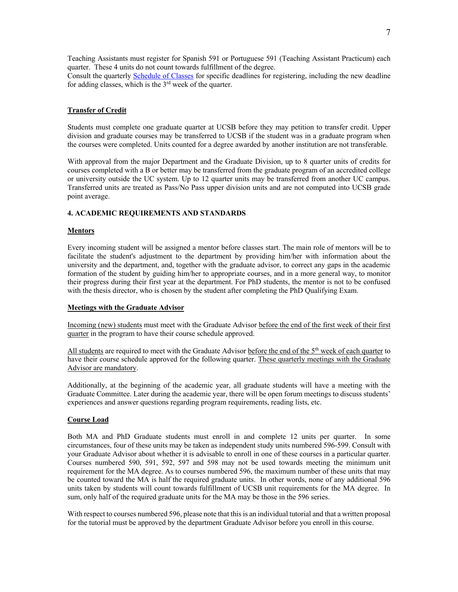Teaching Assistants must register for Spanish 591 or Portuguese 591 (Teaching Assistant Practicum) each quarter. These 4 units do not count towards fulfillment of the degree.

Consult the quarterly Schedule of Classes for specific deadlines for registering, including the new deadline for adding classes, which is the  $3<sup>rd</sup>$  week of the quarter.

#### **Transfer of Credit**

Students must complete one graduate quarter at UCSB before they may petition to transfer credit. Upper division and graduate courses may be transferred to UCSB if the student was in a graduate program when the courses were completed. Units counted for a degree awarded by another institution are not transferable.

With approval from the major Department and the Graduate Division, up to 8 quarter units of credits for courses completed with a B or better may be transferred from the graduate program of an accredited college or university outside the UC system. Up to 12 quarter units may be transferred from another UC campus. Transferred units are treated as Pass/No Pass upper division units and are not computed into UCSB grade point average.

#### **4. ACADEMIC REQUIREMENTS AND STANDARDS**

#### **Mentors**

Every incoming student will be assigned a mentor before classes start. The main role of mentors will be to facilitate the student's adjustment to the department by providing him/her with information about the university and the department, and, together with the graduate advisor, to correct any gaps in the academic formation of the student by guiding him/her to appropriate courses, and in a more general way, to monitor their progress during their first year at the department. For PhD students, the mentor is not to be confused with the thesis director, who is chosen by the student after completing the PhD Qualifying Exam.

#### **Meetings with the Graduate Advisor**

Incoming (new) students must meet with the Graduate Advisor before the end of the first week of their first quarter in the program to have their course schedule approved.

All students are required to meet with the Graduate Advisor before the end of the 5th week of each quarter to have their course schedule approved for the following quarter. These quarterly meetings with the Graduate Advisor are mandatory.

Additionally, at the beginning of the academic year, all graduate students will have a meeting with the Graduate Committee. Later during the academic year, there will be open forum meetings to discuss students' experiences and answer questions regarding program requirements, reading lists, etc.

#### **Course Load**

Both MA and PhD Graduate students must enroll in and complete 12 units per quarter. In some circumstances, four of these units may be taken as independent study units numbered 596-599. Consult with your Graduate Advisor about whether it is advisable to enroll in one of these courses in a particular quarter. Courses numbered 590, 591, 592, 597 and 598 may not be used towards meeting the minimum unit requirement for the MA degree. As to courses numbered 596, the maximum number of these units that may be counted toward the MA is half the required graduate units. In other words, none of any additional 596 units taken by students will count towards fulfillment of UCSB unit requirements for the MA degree. In sum, only half of the required graduate units for the MA may be those in the 596 series.

With respect to courses numbered 596, please note that this is an individual tutorial and that a written proposal for the tutorial must be approved by the department Graduate Advisor before you enroll in this course.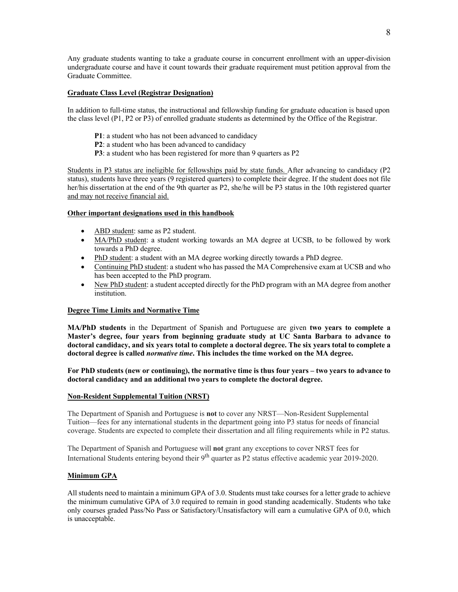Any graduate students wanting to take a graduate course in concurrent enrollment with an upper-division undergraduate course and have it count towards their graduate requirement must petition approval from the Graduate Committee.

# **Graduate Class Level (Registrar Designation)**

In addition to full-time status, the instructional and fellowship funding for graduate education is based upon the class level (P1, P2 or P3) of enrolled graduate students as determined by the Office of the Registrar.

- **P1**: a student who has not been advanced to candidacy
- **P2**: a student who has been advanced to candidacy
- **P3**: a student who has been registered for more than 9 quarters as P2

Students in P3 status are ineligible for fellowships paid by state funds. After advancing to candidacy (P2 status), students have three years (9 registered quarters) to complete their degree. If the student does not file her/his dissertation at the end of the 9th quarter as P2, she/he will be P3 status in the 10th registered quarter and may not receive financial aid.

#### **Other important designations used in this handbook**

- ABD student: same as P2 student.
- MA/PhD student: a student working towards an MA degree at UCSB, to be followed by work towards a PhD degree.
- PhD student: a student with an MA degree working directly towards a PhD degree.
- Continuing PhD student: a student who has passed the MA Comprehensive exam at UCSB and who has been accepted to the PhD program.
- New PhD student: a student accepted directly for the PhD program with an MA degree from another institution.

# **Degree Time Limits and Normative Time**

**MA/PhD students** in the Department of Spanish and Portuguese are given **two years to complete a Master's degree, four years from beginning graduate study at UC Santa Barbara to advance to doctoral candidacy, and six years total to complete a doctoral degree. The six years total to complete a doctoral degree is called** *normative time***. This includes the time worked on the MA degree.** 

**For PhD students (new or continuing), the normative time is thus four years – two years to advance to doctoral candidacy and an additional two years to complete the doctoral degree.**

#### **Non-Resident Supplemental Tuition (NRST)**

The Department of Spanish and Portuguese is **not** to cover any NRST—Non-Resident Supplemental Tuition—fees for any international students in the department going into P3 status for needs of financial coverage. Students are expected to complete their dissertation and all filing requirements while in P2 status.

The Department of Spanish and Portuguese will **not** grant any exceptions to cover NRST fees for International Students entering beyond their 9<sup>th</sup> quarter as P2 status effective academic year 2019-2020.

#### **Minimum GPA**

All students need to maintain a minimum GPA of 3.0. Students must take courses for a letter grade to achieve the minimum cumulative GPA of 3.0 required to remain in good standing academically. Students who take only courses graded Pass/No Pass or Satisfactory/Unsatisfactory will earn a cumulative GPA of 0.0, which is unacceptable.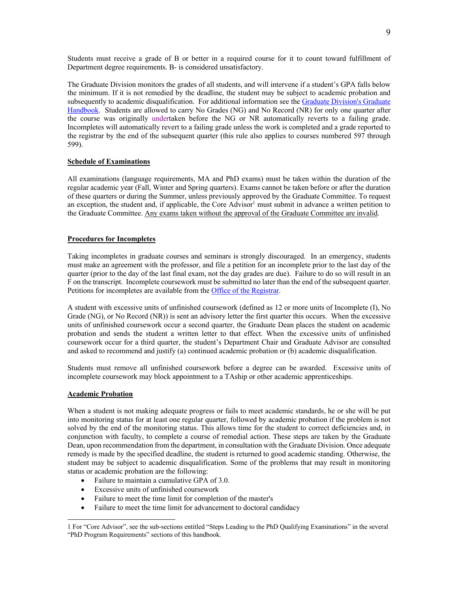Students must receive a grade of B or better in a required course for it to count toward fulfillment of Department degree requirements. B- is considered unsatisfactory.

The Graduate Division monitors the grades of all students, and will intervene if a student's GPA falls below the minimum. If it is not remedied by the deadline, the student may be subject to academic probation and subsequently to academic disqualification. For additional information see the Graduate Division's Graduate Handbook. Students are allowed to carry No Grades (NG) and No Record (NR) for only one quarter after the course was originally undertaken before the NG or NR automatically reverts to a failing grade. Incompletes will automatically revert to a failing grade unless the work is completed and a grade reported to the registrar by the end of the subsequent quarter (this rule also applies to courses numbered 597 through 599).

#### **Schedule of Examinations**

All examinations (language requirements, MA and PhD exams) must be taken within the duration of the regular academic year (Fall, Winter and Spring quarters). Exams cannot be taken before or after the duration of these quarters or during the Summer, unless previously approved by the Graduate Committee. To request an exception, the student and, if applicable, the Core Advisor<sup>1</sup> must submit in advance a written petition to the Graduate Committee. Any exams taken without the approval of the Graduate Committee are invalid.

# **Procedures for Incompletes**

Taking incompletes in graduate courses and seminars is strongly discouraged. In an emergency, students must make an agreement with the professor, and file a petition for an incomplete prior to the last day of the quarter (prior to the day of the last final exam, not the day grades are due). Failure to do so will result in an F on the transcript. Incomplete coursework must be submitted no later than the end of the subsequent quarter. Petitions for incompletes are available from the Office of the Registrar.

A student with excessive units of unfinished coursework (defined as 12 or more units of Incomplete (I), No Grade (NG), or No Record (NR)) is sent an advisory letter the first quarter this occurs. When the excessive units of unfinished coursework occur a second quarter, the Graduate Dean places the student on academic probation and sends the student a written letter to that effect. When the excessive units of unfinished coursework occur for a third quarter, the student's Department Chair and Graduate Advisor are consulted and asked to recommend and justify (a) continued academic probation or (b) academic disqualification.

Students must remove all unfinished coursework before a degree can be awarded. Excessive units of incomplete coursework may block appointment to a TAship or other academic apprenticeships.

#### **Academic Probation**

When a student is not making adequate progress or fails to meet academic standards, he or she will be put into monitoring status for at least one regular quarter, followed by academic probation if the problem is not solved by the end of the monitoring status. This allows time for the student to correct deficiencies and, in conjunction with faculty, to complete a course of remedial action. These steps are taken by the Graduate Dean, upon recommendation from the department, in consultation with the Graduate Division. Once adequate remedy is made by the specified deadline, the student is returned to good academic standing. Otherwise, the student may be subject to academic disqualification. Some of the problems that may result in monitoring status or academic probation are the following:

- Failure to maintain a cumulative GPA of 3.0.
- Excessive units of unfinished coursework
- Failure to meet the time limit for completion of the master's
- Failure to meet the time limit for advancement to doctoral candidacy

<sup>1</sup> For "Core Advisor", see the sub-sections entitled "Steps Leading to the PhD Qualifying Examinations" in the several "PhD Program Requirements" sections of this handbook.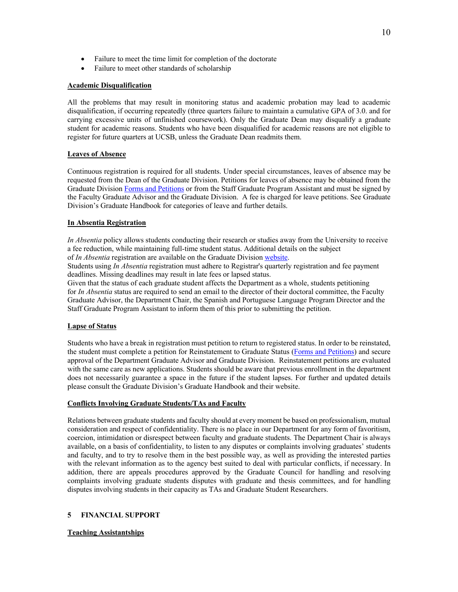- Failure to meet the time limit for completion of the doctorate
- Failure to meet other standards of scholarship

### **Academic Disqualification**

All the problems that may result in monitoring status and academic probation may lead to academic disqualification, if occurring repeatedly (three quarters failure to maintain a cumulative GPA of 3.0. and for carrying excessive units of unfinished coursework). Only the Graduate Dean may disqualify a graduate student for academic reasons. Students who have been disqualified for academic reasons are not eligible to register for future quarters at UCSB, unless the Graduate Dean readmits them.

# **Leaves of Absence**

Continuous registration is required for all students. Under special circumstances, leaves of absence may be requested from the Dean of the Graduate Division. Petitions for leaves of absence may be obtained from the Graduate Division Forms and Petitions or from the Staff Graduate Program Assistant and must be signed by the Faculty Graduate Advisor and the Graduate Division. A fee is charged for leave petitions. See Graduate Division's Graduate Handbook for categories of leave and further details.

#### **In Absentia Registration**

*In Absentia* policy allows students conducting their research or studies away from the University to receive a fee reduction, while maintaining full-time student status. Additional details on the subject of *In Absentia* registration are available on the Graduate Division website.

Students using *In Absentia* registration must adhere to Registrar's quarterly registration and fee payment deadlines. Missing deadlines may result in late fees or lapsed status.

Given that the status of each graduate student affects the Department as a whole, students petitioning for *In Absentia* status are required to send an email to the director of their doctoral committee, the Faculty Graduate Advisor, the Department Chair, the Spanish and Portuguese Language Program Director and the Staff Graduate Program Assistant to inform them of this prior to submitting the petition.

#### **Lapse of Status**

Students who have a break in registration must petition to return to registered status. In order to be reinstated, the student must complete a petition for Reinstatement to Graduate Status (Forms and Petitions) and secure approval of the Department Graduate Advisor and Graduate Division. Reinstatement petitions are evaluated with the same care as new applications. Students should be aware that previous enrollment in the department does not necessarily guarantee a space in the future if the student lapses. For further and updated details please consult the Graduate Division's Graduate Handbook and their website.

# **Conflicts Involving Graduate Students/TAs and Faculty**

Relations between graduate students and faculty should at every moment be based on professionalism, mutual consideration and respect of confidentiality. There is no place in our Department for any form of favoritism, coercion, intimidation or disrespect between faculty and graduate students. The Department Chair is always available, on a basis of confidentiality, to listen to any disputes or complaints involving graduates' students and faculty, and to try to resolve them in the best possible way, as well as providing the interested parties with the relevant information as to the agency best suited to deal with particular conflicts, if necessary. In addition, there are appeals procedures approved by the Graduate Council for handling and resolving complaints involving graduate students disputes with graduate and thesis committees, and for handling disputes involving students in their capacity as TAs and Graduate Student Researchers.

#### **5 FINANCIAL SUPPORT**

# **Teaching Assistantships**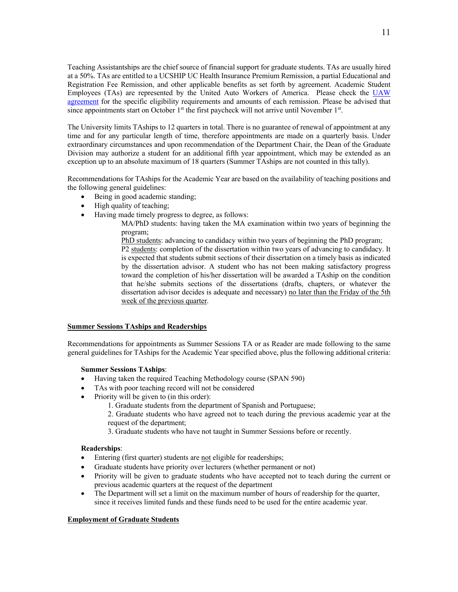Teaching Assistantships are the chief source of financial support for graduate students. TAs are usually hired at a 50%. TAs are entitled to a UCSHIP UC Health Insurance Premium Remission, a partial Educational and Registration Fee Remission, and other applicable benefits as set forth by agreement. Academic Student Employees (TAs) are represented by the United Auto Workers of America. Please check the UAW agreement for the specific eligibility requirements and amounts of each remission. Please be advised that since appointments start on October  $1<sup>st</sup>$  the first paycheck will not arrive until November  $1<sup>st</sup>$ .

The University limits TAships to 12 quarters in total. There is no guarantee of renewal of appointment at any time and for any particular length of time, therefore appointments are made on a quarterly basis. Under extraordinary circumstances and upon recommendation of the Department Chair, the Dean of the Graduate Division may authorize a student for an additional fifth year appointment, which may be extended as an exception up to an absolute maximum of 18 quarters (Summer TAships are not counted in this tally).

Recommendations for TAships for the Academic Year are based on the availability of teaching positions and the following general guidelines:

- Being in good academic standing;
- High quality of teaching;
- Having made timely progress to degree, as follows:

MA/PhD students: having taken the MA examination within two years of beginning the program;

PhD students: advancing to candidacy within two years of beginning the PhD program; P2 students: completion of the dissertation within two years of advancing to candidacy. It is expected that students submit sections of their dissertation on a timely basis as indicated by the dissertation advisor. A student who has not been making satisfactory progress toward the completion of his/her dissertation will be awarded a TAship on the condition that he/she submits sections of the dissertations (drafts, chapters, or whatever the dissertation advisor decides is adequate and necessary) no later than the Friday of the 5th week of the previous quarter.

## **Summer Sessions TAships and Readerships**

Recommendations for appointments as Summer Sessions TA or as Reader are made following to the same general guidelines for TAships for the Academic Year specified above, plus the following additional criteria:

# **Summer Sessions TAships**:

- Having taken the required Teaching Methodology course (SPAN 590)
- TAs with poor teaching record will not be considered
- Priority will be given to (in this order):
	- 1. Graduate students from the department of Spanish and Portuguese;
	- 2. Graduate students who have agreed not to teach during the previous academic year at the request of the department;
	- 3. Graduate students who have not taught in Summer Sessions before or recently.

#### **Readerships**:

- Entering (first quarter) students are not eligible for readerships;
- Graduate students have priority over lecturers (whether permanent or not)
- Priority will be given to graduate students who have accepted not to teach during the current or previous academic quarters at the request of the department
- The Department will set a limit on the maximum number of hours of readership for the quarter, since it receives limited funds and these funds need to be used for the entire academic year.

#### **Employment of Graduate Students**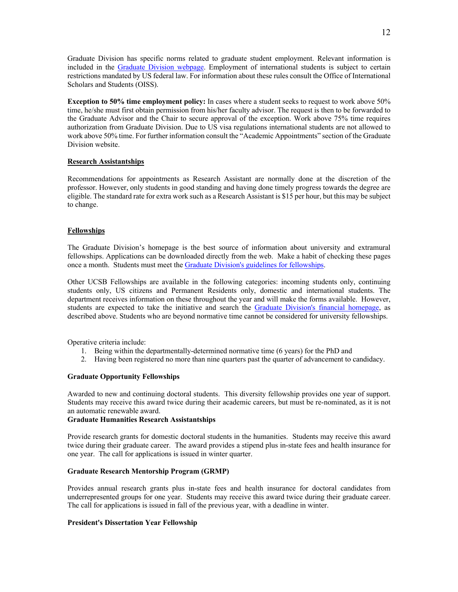Graduate Division has specific norms related to graduate student employment. Relevant information is included in the Graduate Division webpage. Employment of international students is subject to certain restrictions mandated by US federal law. For information about these rules consult the Office of International Scholars and Students (OISS).

**Exception to 50% time employment policy:** In cases where a student seeks to request to work above 50% time, he/she must first obtain permission from his/her faculty advisor. The request is then to be forwarded to the Graduate Advisor and the Chair to secure approval of the exception. Work above 75% time requires authorization from Graduate Division. Due to US visa regulations international students are not allowed to work above 50% time. For further information consult the "Academic Appointments" section of the Graduate Division website.

# **Research Assistantships**

Recommendations for appointments as Research Assistant are normally done at the discretion of the professor. However, only students in good standing and having done timely progress towards the degree are eligible. The standard rate for extra work such as a Research Assistant is \$15 per hour, but this may be subject to change.

# **Fellowships**

The Graduate Division's homepage is the best source of information about university and extramural fellowships. Applications can be downloaded directly from the web. Make a habit of checking these pages once a month. Students must meet the Graduate Division's guidelines for fellowships.

Other UCSB Fellowships are available in the following categories: incoming students only, continuing students only, US citizens and Permanent Residents only, domestic and international students. The department receives information on these throughout the year and will make the forms available. However, students are expected to take the initiative and search the Graduate Division's financial homepage, as described above. Students who are beyond normative time cannot be considered for university fellowships.

Operative criteria include:

- 1. Being within the departmentally-determined normative time (6 years) for the PhD and
- 2. Having been registered no more than nine quarters past the quarter of advancement to candidacy.

#### **Graduate Opportunity Fellowships**

Awarded to new and continuing doctoral students. This diversity fellowship provides one year of support. Students may receive this award twice during their academic careers, but must be re-nominated, as it is not an automatic renewable award.

# **Graduate Humanities Research Assistantships**

Provide research grants for domestic doctoral students in the humanities. Students may receive this award twice during their graduate career. The award provides a stipend plus in-state fees and health insurance for one year. The call for applications is issued in winter quarter.

# **Graduate Research Mentorship Program (GRMP)**

Provides annual research grants plus in-state fees and health insurance for doctoral candidates from underrepresented groups for one year. Students may receive this award twice during their graduate career. The call for applications is issued in fall of the previous year, with a deadline in winter.

#### **President's Dissertation Year Fellowship**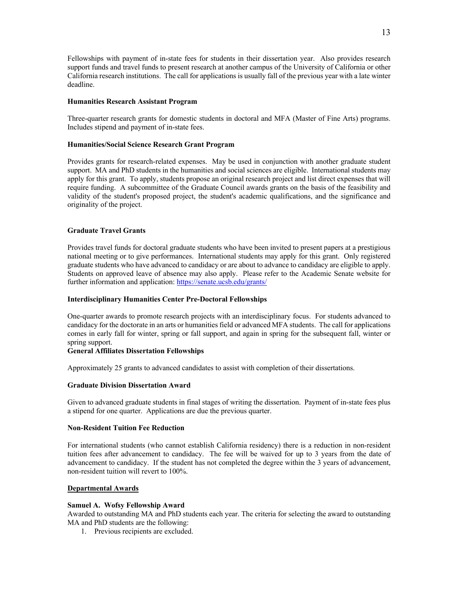Fellowships with payment of in-state fees for students in their dissertation year. Also provides research support funds and travel funds to present research at another campus of the University of California or other California research institutions. The call for applications is usually fall of the previous year with a late winter deadline.

#### **Humanities Research Assistant Program**

Three-quarter research grants for domestic students in doctoral and MFA (Master of Fine Arts) programs. Includes stipend and payment of in-state fees.

#### **Humanities/Social Science Research Grant Program**

Provides grants for research-related expenses. May be used in conjunction with another graduate student support. MA and PhD students in the humanities and social sciences are eligible. International students may apply for this grant. To apply, students propose an original research project and list direct expenses that will require funding. A subcommittee of the Graduate Council awards grants on the basis of the feasibility and validity of the student's proposed project, the student's academic qualifications, and the significance and originality of the project.

# **Graduate Travel Grants**

Provides travel funds for doctoral graduate students who have been invited to present papers at a prestigious national meeting or to give performances. International students may apply for this grant. Only registered graduate students who have advanced to candidacy or are about to advance to candidacy are eligible to apply. Students on approved leave of absence may also apply. Please refer to the Academic Senate website for further information and application: https://senate.ucsb.edu/grants/

#### **Interdisciplinary Humanities Center Pre-Doctoral Fellowships**

One-quarter awards to promote research projects with an interdisciplinary focus. For students advanced to candidacy for the doctorate in an arts or humanities field or advanced MFA students. The call for applications comes in early fall for winter, spring or fall support, and again in spring for the subsequent fall, winter or spring support.

#### **General Affiliates Dissertation Fellowships**

Approximately 25 grants to advanced candidates to assist with completion of their dissertations.

#### **Graduate Division Dissertation Award**

Given to advanced graduate students in final stages of writing the dissertation. Payment of in-state fees plus a stipend for one quarter. Applications are due the previous quarter.

#### **Non-Resident Tuition Fee Reduction**

For international students (who cannot establish California residency) there is a reduction in non-resident tuition fees after advancement to candidacy. The fee will be waived for up to 3 years from the date of advancement to candidacy. If the student has not completed the degree within the 3 years of advancement, non-resident tuition will revert to 100%.

#### **Departmental Awards**

# **Samuel A. Wofsy Fellowship Award**

Awarded to outstanding MA and PhD students each year. The criteria for selecting the award to outstanding MA and PhD students are the following:

1. Previous recipients are excluded.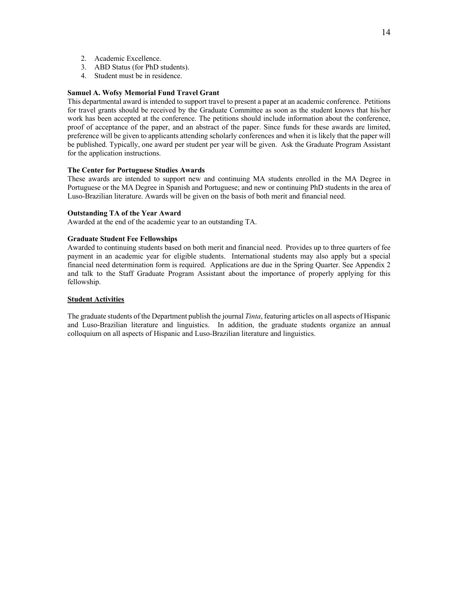- 2. Academic Excellence.
- 3. ABD Status (for PhD students).
- 4. Student must be in residence.

## **Samuel A. Wofsy Memorial Fund Travel Grant**

This departmental award is intended to support travel to present a paper at an academic conference. Petitions for travel grants should be received by the Graduate Committee as soon as the student knows that his/her work has been accepted at the conference. The petitions should include information about the conference, proof of acceptance of the paper, and an abstract of the paper. Since funds for these awards are limited, preference will be given to applicants attending scholarly conferences and when it is likely that the paper will be published. Typically, one award per student per year will be given. Ask the Graduate Program Assistant for the application instructions.

#### **The Center for Portuguese Studies Awards**

These awards are intended to support new and continuing MA students enrolled in the MA Degree in Portuguese or the MA Degree in Spanish and Portuguese; and new or continuing PhD students in the area of Luso-Brazilian literature. Awards will be given on the basis of both merit and financial need.

### **Outstanding TA of the Year Award**

Awarded at the end of the academic year to an outstanding TA.

#### **Graduate Student Fee Fellowships**

Awarded to continuing students based on both merit and financial need. Provides up to three quarters of fee payment in an academic year for eligible students. International students may also apply but a special financial need determination form is required. Applications are due in the Spring Quarter. See Appendix 2 and talk to the Staff Graduate Program Assistant about the importance of properly applying for this fellowship.

#### **Student Activities**

The graduate students of the Department publish the journal *Tinta*, featuring articles on all aspects of Hispanic and Luso-Brazilian literature and linguistics. In addition, the graduate students organize an annual colloquium on all aspects of Hispanic and Luso-Brazilian literature and linguistics.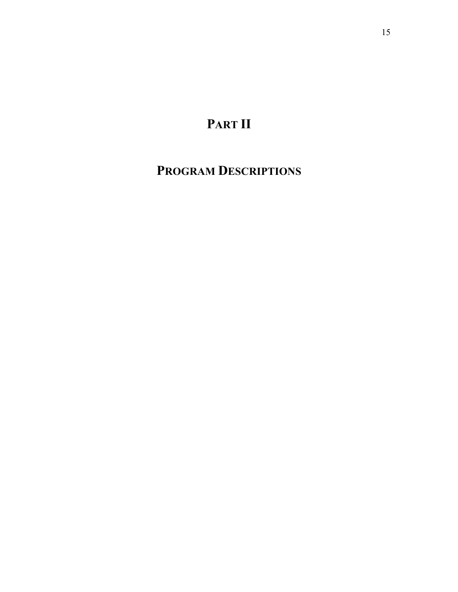# **PART II**

# **PROGRAM DESCRIPTIONS**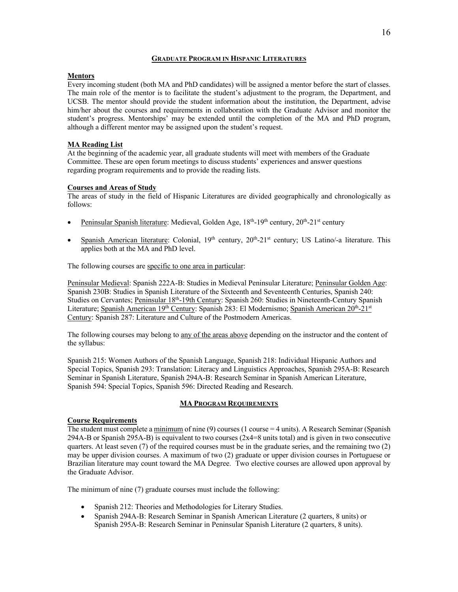### **GRADUATE PROGRAM IN HISPANIC LITERATURES**

# **Mentors**

Every incoming student (both MA and PhD candidates) will be assigned a mentor before the start of classes. The main role of the mentor is to facilitate the student's adjustment to the program, the Department, and UCSB. The mentor should provide the student information about the institution, the Department, advise him/her about the courses and requirements in collaboration with the Graduate Advisor and monitor the student's progress. Mentorships' may be extended until the completion of the MA and PhD program, although a different mentor may be assigned upon the student's request.

# **MA Reading List**

At the beginning of the academic year, all graduate students will meet with members of the Graduate Committee. These are open forum meetings to discuss students' experiences and answer questions regarding program requirements and to provide the reading lists.

# **Courses and Areas of Study**

The areas of study in the field of Hispanic Literatures are divided geographically and chronologically as follows:

- Peninsular Spanish literature: Medieval, Golden Age, 18<sup>th</sup>-19<sup>th</sup> century, 20<sup>th</sup>-21<sup>st</sup> century
- Spanish American literature: Colonial,  $19<sup>th</sup>$  century,  $20<sup>th</sup>-21<sup>st</sup>$  century; US Latino/-a literature. This applies both at the MA and PhD level.

The following courses are specific to one area in particular:

Peninsular Medieval: Spanish 222A-B: Studies in Medieval Peninsular Literature; Peninsular Golden Age: Spanish 230B: Studies in Spanish Literature of the Sixteenth and Seventeenth Centuries, Spanish 240: Studies on Cervantes; Peninsular 18<sup>th</sup>-19th Century: Spanish 260: Studies in Nineteenth-Century Spanish Literature; Spanish American 19<sup>th</sup> Century: Spanish 283: El Modernismo; Spanish American 20<sup>th</sup>-21<sup>st</sup> Century: Spanish 287: Literature and Culture of the Postmodern Americas.

The following courses may belong to any of the areas above depending on the instructor and the content of the syllabus:

Spanish 215: Women Authors of the Spanish Language, Spanish 218: Individual Hispanic Authors and Special Topics, Spanish 293: Translation: Literacy and Linguistics Approaches, Spanish 295A-B: Research Seminar in Spanish Literature, Spanish 294A-B: Research Seminar in Spanish American Literature, Spanish 594: Special Topics, Spanish 596: Directed Reading and Research.

# **MA PROGRAM REQUIREMENTS**

# **Course Requirements**

The student must complete a  $minimum$  of nine (9) courses (1 course = 4 units). A Research Seminar (Spanish 294A-B or Spanish 295A-B) is equivalent to two courses  $(2x4=8 \text{ units total})$  and is given in two consecutive quarters. At least seven (7) of the required courses must be in the graduate series, and the remaining two (2) may be upper division courses. A maximum of two (2) graduate or upper division courses in Portuguese or Brazilian literature may count toward the MA Degree. Two elective courses are allowed upon approval by the Graduate Advisor.

The minimum of nine (7) graduate courses must include the following:

- Spanish 212: Theories and Methodologies for Literary Studies.
- Spanish 294A-B: Research Seminar in Spanish American Literature (2 quarters, 8 units) or Spanish 295A-B: Research Seminar in Peninsular Spanish Literature (2 quarters, 8 units).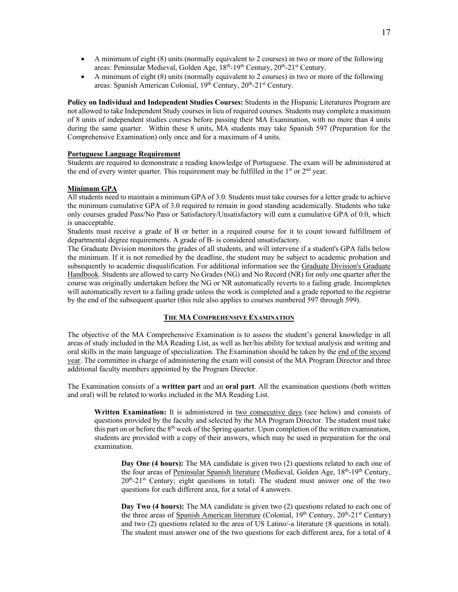- A minimum of eight (8) units (normally equivalent to 2 courses) in two or more of the following areas: Peninsular Medieval, Golden Age, 18<sup>th</sup>-19<sup>th</sup> Century, 20<sup>th</sup>-21<sup>st</sup> Century.
- A minimum of eight (8) units (normally equivalent to 2 courses) in two or more of the following areas: Spanish American Colonial, 19<sup>th</sup> Century, 20<sup>th</sup>-21<sup>st</sup> Century.

**Policy on Individual and Independent Studies Courses:** Students in the Hispanic Literatures Program are not allowed to take Independent Study courses in lieu of required courses. Students may complete a maximum of 8 units of independent studies courses before passing their MA Examination, with no more than 4 units during the same quarter. Within these 8 units, MA students may take Spanish 597 (Preparation for the Comprehensive Examination) only once and for a maximum of 4 units.

# **Portuguese Language Requirement**

Students are required to demonstrate a reading knowledge of Portuguese. The exam will be administered at the end of every winter quarter. This requirement may be fulfilled in the  $1<sup>st</sup>$  or  $2<sup>nd</sup>$  year.

#### **Minimum GPA**

All students need to maintain a minimum GPA of 3.0. Students must take courses for a letter grade to achieve the minimum cumulative GPA of 3.0 required to remain in good standing academically. Students who take only courses graded Pass/No Pass or Satisfactory/Unsatisfactory will earn a cumulative GPA of 0.0, which is unacceptable.

Students must receive a grade of B or better in a required course for it to count toward fulfillment of departmental degree requirements. A grade of B- is considered unsatisfactory.

The Graduate Division monitors the grades of all students, and will intervene if a student's GPA falls below the minimum. If it is not remedied by the deadline, the student may be subject to academic probation and subsequently to academic disqualification. For additional information see the Graduate Division's Graduate Handbook. Students are allowed to carry No Grades (NG) and No Record (NR) for only one quarter after the course was originally undertaken before the NG or NR automatically reverts to a failing grade. Incompletes will automatically revert to a failing grade unless the work is completed and a grade reported to the registrar by the end of the subsequent quarter (this rule also applies to courses numbered 597 through 599).

#### **THE MA COMPREHENSIVE EXAMINATION**

The objective of the MA Comprehensive Examination is to assess the student's general knowledge in all areas of study included in the MA Reading List, as well as her/his ability for textual analysis and writing and oral skills in the main language of specialization. The Examination should be taken by the end of the second year. The committee in charge of administering the exam will consist of the MA Program Director and three additional faculty members appointed by the Program Director.

The Examination consists of a **written part** and an **oral part**. All the examination questions (both written and oral) will be related to works included in the MA Reading List.

**Written Examination:** It is administered in two consecutive days (see below) and consists of questions provided by the faculty and selected by the MA Program Director. The student must take this part on or before the  $8<sup>th</sup>$  week of the Spring quarter. Upon completion of the written examination, students are provided with a copy of their answers, which may be used in preparation for the oral examination.

**Day One (4 hours):** The MA candidate is given two (2) questions related to each one of the four areas of Peninsular Spanish literature (Medieval, Golden Age,  $18<sup>th</sup>$ -19<sup>th</sup> Century, 20th-21st Century; eight questions in total). The student must answer one of the two questions for each different area, for a total of 4 answers.

**Day Two (4 hours):** The MA candidate is given two (2) questions related to each one of the three areas of Spanish American literature (Colonial,  $19<sup>th</sup>$  Century,  $20<sup>th</sup>-21<sup>st</sup>$  Century) and two (2) questions related to the area of US Latino/-a literature (8 questions in total). The student must answer one of the two questions for each different area, for a total of 4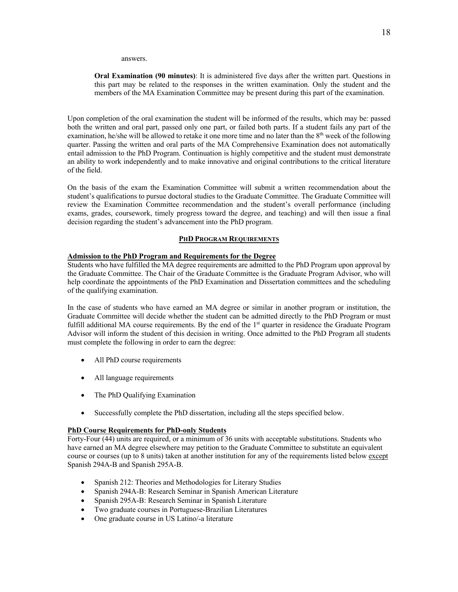answers.

**Oral Examination (90 minutes)**: It is administered five days after the written part. Questions in this part may be related to the responses in the written examination. Only the student and the members of the MA Examination Committee may be present during this part of the examination.

Upon completion of the oral examination the student will be informed of the results, which may be: passed both the written and oral part, passed only one part, or failed both parts. If a student fails any part of the examination, he/she will be allowed to retake it one more time and no later than the  $8<sup>th</sup>$  week of the following quarter. Passing the written and oral parts of the MA Comprehensive Examination does not automatically entail admission to the PhD Program. Continuation is highly competitive and the student must demonstrate an ability to work independently and to make innovative and original contributions to the critical literature of the field.

On the basis of the exam the Examination Committee will submit a written recommendation about the student's qualifications to pursue doctoral studies to the Graduate Committee. The Graduate Committee will review the Examination Committee recommendation and the student's overall performance (including exams, grades, coursework, timely progress toward the degree, and teaching) and will then issue a final decision regarding the student's advancement into the PhD program.

#### **PHD PROGRAM REQUIREMENTS**

#### **Admission to the PhD Program and Requirements for the Degree**

Students who have fulfilled the MA degree requirements are admitted to the PhD Program upon approval by the Graduate Committee. The Chair of the Graduate Committee is the Graduate Program Advisor, who will help coordinate the appointments of the PhD Examination and Dissertation committees and the scheduling of the qualifying examination.

In the case of students who have earned an MA degree or similar in another program or institution, the Graduate Committee will decide whether the student can be admitted directly to the PhD Program or must fulfill additional MA course requirements. By the end of the 1<sup>st</sup> quarter in residence the Graduate Program Advisor will inform the student of this decision in writing. Once admitted to the PhD Program all students must complete the following in order to earn the degree:

- All PhD course requirements
- All language requirements
- The PhD Qualifying Examination
- Successfully complete the PhD dissertation, including all the steps specified below.

#### **PhD Course Requirements for PhD-only Students**

Forty-Four (44) units are required, or a minimum of 36 units with acceptable substitutions. Students who have earned an MA degree elsewhere may petition to the Graduate Committee to substitute an equivalent course or courses (up to 8 units) taken at another institution for any of the requirements listed below except Spanish 294A-B and Spanish 295A-B.

- Spanish 212: Theories and Methodologies for Literary Studies
- Spanish 294A-B: Research Seminar in Spanish American Literature
- Spanish 295A-B: Research Seminar in Spanish Literature
- Two graduate courses in Portuguese-Brazilian Literatures
- One graduate course in US Latino/-a literature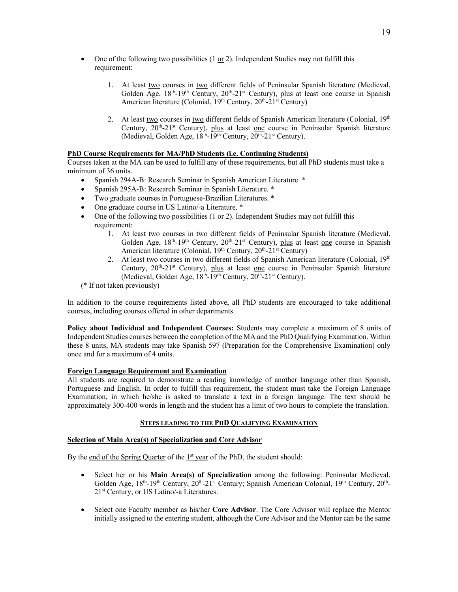- One of the following two possibilities (1 or 2). Independent Studies may not fulfill this requirement:
	- 1. At least two courses in two different fields of Peninsular Spanish literature (Medieval, Golden Age,  $18<sup>th</sup>$ -19<sup>th</sup> Century,  $20<sup>th</sup>$ -21<sup>st</sup> Century), plus at least <u>one</u> course in Spanish American literature (Colonial,  $19<sup>th</sup>$  Century,  $20<sup>th</sup>$ - $21<sup>st</sup>$  Century)
	- 2. At least two courses in two different fields of Spanish American literature (Colonial,  $19<sup>th</sup>$ Century,  $20^{th} - 21^{st}$  Century), plus at least one course in Peninsular Spanish literature (Medieval, Golden Age,  $18<sup>th</sup>-19<sup>th</sup>$  Century,  $20<sup>th</sup>-21<sup>st</sup>$  Century).

# **PhD Course Requirements for MA/PhD Students (i.e. Continuing Students)**

Courses taken at the MA can be used to fulfill any of these requirements, but all PhD students must take a minimum of 36 units.

- Spanish 294A-B: Research Seminar in Spanish American Literature. \*
- Spanish 295A-B: Research Seminar in Spanish Literature. \*
- Two graduate courses in Portuguese-Brazilian Literatures. \*
- One graduate course in US Latino/-a Literature. \*
- One of the following two possibilities (1 or 2). Independent Studies may not fulfill this requirement:
	- 1. At least two courses in two different fields of Peninsular Spanish literature (Medieval, Golden Age,  $18<sup>th</sup>$ -19<sup>th</sup> Century,  $20<sup>th</sup>$ -21<sup>st</sup> Century), plus at least one course in Spanish American literature (Colonial, 19<sup>th</sup> Century, 20<sup>th</sup>-21<sup>st</sup> Century)
	- 2. At least two courses in two different fields of Spanish American literature (Colonial, 19th Century, 20<sup>th</sup>-21<sup>st</sup> Century), plus at least one course in Peninsular Spanish literature (Medieval, Golden Age, 18<sup>th</sup>-19<sup>th</sup> Century, 20<sup>th</sup>-21<sup>st</sup> Century).
- (\* If not taken previously)

In addition to the course requirements listed above, all PhD students are encouraged to take additional courses, including courses offered in other departments.

**Policy about Individual and Independent Courses:** Students may complete a maximum of 8 units of Independent Studies courses between the completion of the MA and the PhD Qualifying Examination. Within these 8 units, MA students may take Spanish 597 (Preparation for the Comprehensive Examination) only once and for a maximum of 4 units.

# **Foreign Language Requirement and Examination**

All students are required to demonstrate a reading knowledge of another language other than Spanish, Portuguese and English. In order to fulfill this requirement, the student must take the Foreign Language Examination, in which he/she is asked to translate a text in a foreign language. The text should be approximately 300-400 words in length and the student has a limit of two hours to complete the translation.

# **STEPS LEADING TO THE PHD QUALIFYING EXAMINATION**

# **Selection of Main Area(s) of Specialization and Core Advisor**

By the end of the Spring Quarter of the 1<sup>st</sup> year of the PhD, the student should:

- Select her or his **Main Area(s) of Specialization** among the following: Peninsular Medieval, Golden Age,  $18^{th}$ -19<sup>th</sup> Century,  $20^{th}$ -21<sup>st</sup> Century; Spanish American Colonial,  $19^{th}$  Century,  $20^{th}$ -21st Century; or US Latino/-a Literatures.
- Select one Faculty member as his/her **Core Advisor**. The Core Advisor will replace the Mentor initially assigned to the entering student, although the Core Advisor and the Mentor can be the same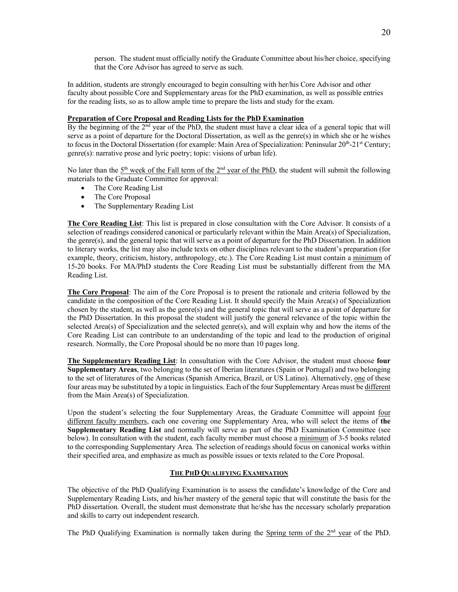person. The student must officially notify the Graduate Committee about his/her choice, specifying that the Core Advisor has agreed to serve as such.

In addition, students are strongly encouraged to begin consulting with her/his Core Advisor and other faculty about possible Core and Supplementary areas for the PhD examination, as well as possible entries for the reading lists, so as to allow ample time to prepare the lists and study for the exam.

# **Preparation of Core Proposal and Reading Lists for the PhD Examination**

By the beginning of the 2<sup>nd</sup> year of the PhD, the student must have a clear idea of a general topic that will serve as a point of departure for the Doctoral Dissertation, as well as the genre(s) in which she or he wishes to focus in the Doctoral Dissertation (for example: Main Area of Specialization: Peninsular 20<sup>th</sup>-21<sup>st</sup> Century; genre(s): narrative prose and lyric poetry; topic: visions of urban life).

No later than the  $5<sup>th</sup>$  week of the Fall term of the  $2<sup>nd</sup>$  year of the PhD, the student will submit the following materials to the Graduate Committee for approval:

- The Core Reading List
- The Core Proposal
- The Supplementary Reading List

**The Core Reading List**: This list is prepared in close consultation with the Core Advisor. It consists of a selection of readings considered canonical or particularly relevant within the Main Area(s) of Specialization, the genre(s), and the general topic that will serve as a point of departure for the PhD Dissertation. In addition to literary works, the list may also include texts on other disciplines relevant to the student's preparation (for example, theory, criticism, history, anthropology, etc.). The Core Reading List must contain a minimum of 15-20 books. For MA/PhD students the Core Reading List must be substantially different from the MA Reading List.

**The Core Proposal**: The aim of the Core Proposal is to present the rationale and criteria followed by the candidate in the composition of the Core Reading List. It should specify the Main Area(s) of Specialization chosen by the student, as well as the genre(s) and the general topic that will serve as a point of departure for the PhD Dissertation. In this proposal the student will justify the general relevance of the topic within the selected Area(s) of Specialization and the selected genre(s), and will explain why and how the items of the Core Reading List can contribute to an understanding of the topic and lead to the production of original research. Normally, the Core Proposal should be no more than 10 pages long.

**The Supplementary Reading List**: In consultation with the Core Advisor, the student must choose **four Supplementary Areas**, two belonging to the set of Iberian literatures (Spain or Portugal) and two belonging to the set of literatures of the Americas (Spanish America, Brazil, or US Latino). Alternatively, one of these four areas may be substituted by a topic in linguistics. Each of the four Supplementary Areas must be different from the Main Area(s) of Specialization.

Upon the student's selecting the four Supplementary Areas, the Graduate Committee will appoint four different faculty members, each one covering one Supplementary Area, who will select the items of **the Supplementary Reading List** and normally will serve as part of the PhD Examination Committee (see below). In consultation with the student, each faculty member must choose a minimum of 3-5 books related to the corresponding Supplementary Area. The selection of readings should focus on canonical works within their specified area, and emphasize as much as possible issues or texts related to the Core Proposal.

# **THE PHD QUALIFYING EXAMINATION**

The objective of the PhD Qualifying Examination is to assess the candidate's knowledge of the Core and Supplementary Reading Lists, and his/her mastery of the general topic that will constitute the basis for the PhD dissertation. Overall, the student must demonstrate that he/she has the necessary scholarly preparation and skills to carry out independent research.

The PhD Qualifying Examination is normally taken during the Spring term of the 2<sup>nd</sup> year of the PhD.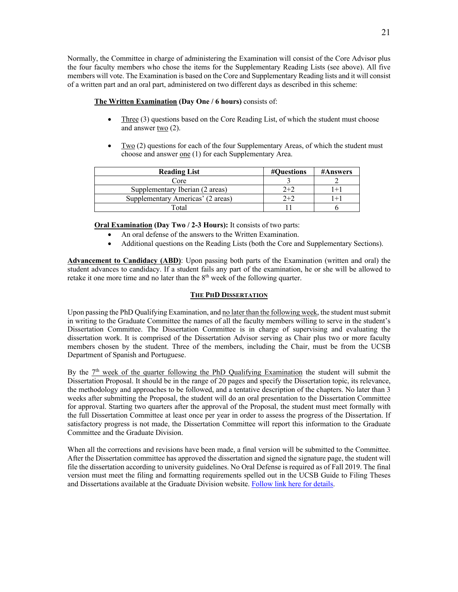Normally, the Committee in charge of administering the Examination will consist of the Core Advisor plus the four faculty members who chose the items for the Supplementary Reading Lists (see above). All five members will vote. The Examination is based on the Core and Supplementary Reading lists and it will consist of a written part and an oral part, administered on two different days as described in this scheme:

# **The Written Examination (Day One / 6 hours)** consists of:

- Three (3) questions based on the Core Reading List, of which the student must choose and answer two (2).
- Two (2) questions for each of the four Supplementary Areas, of which the student must choose and answer one (1) for each Supplementary Area.

| <b>Reading List</b>               | #Questions | <b>#Answers</b> |
|-----------------------------------|------------|-----------------|
| Core                              |            |                 |
| Supplementary Iberian (2 areas)   | $2+2$      | $+1$            |
| Supplementary Americas' (2 areas) | $2 + 2$    | $+1$            |
| Total                             |            |                 |

**Oral Examination (Day Two / 2-3 Hours):** It consists of two parts:

- An oral defense of the answers to the Written Examination.
- Additional questions on the Reading Lists (both the Core and Supplementary Sections).

**Advancement to Candidacy (ABD)**: Upon passing both parts of the Examination (written and oral) the student advances to candidacy. If a student fails any part of the examination, he or she will be allowed to retake it one more time and no later than the  $8<sup>th</sup>$  week of the following quarter.

# **THE PHD DISSERTATION**

Upon passing the PhD Qualifying Examination, and no later than the following week, the student must submit in writing to the Graduate Committee the names of all the faculty members willing to serve in the student's Dissertation Committee. The Dissertation Committee is in charge of supervising and evaluating the dissertation work. It is comprised of the Dissertation Advisor serving as Chair plus two or more faculty members chosen by the student. Three of the members, including the Chair, must be from the UCSB Department of Spanish and Portuguese.

By the  $7<sup>th</sup>$  week of the quarter following the PhD Qualifying Examination the student will submit the Dissertation Proposal. It should be in the range of 20 pages and specify the Dissertation topic, its relevance, the methodology and approaches to be followed, and a tentative description of the chapters. No later than 3 weeks after submitting the Proposal, the student will do an oral presentation to the Dissertation Committee for approval. Starting two quarters after the approval of the Proposal, the student must meet formally with the full Dissertation Committee at least once per year in order to assess the progress of the Dissertation. If satisfactory progress is not made, the Dissertation Committee will report this information to the Graduate Committee and the Graduate Division.

When all the corrections and revisions have been made, a final version will be submitted to the Committee. After the Dissertation committee has approved the dissertation and signed the signature page, the student will file the dissertation according to university guidelines. No Oral Defense is required as of Fall 2019. The final version must meet the filing and formatting requirements spelled out in the UCSB Guide to Filing Theses and Dissertations available at the Graduate Division website. Follow link here for details.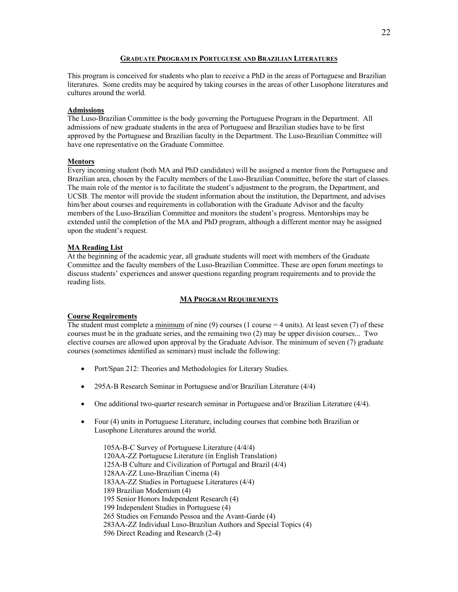#### **GRADUATE PROGRAM IN PORTUGUESE AND BRAZILIAN LITERATURES**

This program is conceived for students who plan to receive a PhD in the areas of Portuguese and Brazilian literatures. Some credits may be acquired by taking courses in the areas of other Lusophone literatures and cultures around the world.

#### **Admissions**

The Luso-Brazilian Committee is the body governing the Portuguese Program in the Department. All admissions of new graduate students in the area of Portuguese and Brazilian studies have to be first approved by the Portuguese and Brazilian faculty in the Department. The Luso-Brazilian Committee will have one representative on the Graduate Committee.

#### **Mentors**

Every incoming student (both MA and PhD candidates) will be assigned a mentor from the Portuguese and Brazilian area, chosen by the Faculty members of the Luso-Brazilian Committee, before the start of classes. The main role of the mentor is to facilitate the student's adjustment to the program, the Department, and UCSB. The mentor will provide the student information about the institution, the Department, and advises him/her about courses and requirements in collaboration with the Graduate Advisor and the faculty members of the Luso-Brazilian Committee and monitors the student's progress. Mentorships may be extended until the completion of the MA and PhD program, although a different mentor may be assigned upon the student's request.

#### **MA Reading List**

At the beginning of the academic year, all graduate students will meet with members of the Graduate Committee and the faculty members of the Luso-Brazilian Committee. These are open forum meetings to discuss students' experiences and answer questions regarding program requirements and to provide the reading lists.

#### **MA PROGRAM REQUIREMENTS**

#### **Course Requirements**

The student must complete a minimum of nine (9) courses (1 course  $=$  4 units). At least seven (7) of these courses must be in the graduate series, and the remaining two (2) may be upper division courses... Two elective courses are allowed upon approval by the Graduate Advisor. The minimum of seven (7) graduate courses (sometimes identified as seminars) must include the following:

- Port/Span 212: Theories and Methodologies for Literary Studies.
- 295A-B Research Seminar in Portuguese and/or Brazilian Literature (4/4)
- One additional two-quarter research seminar in Portuguese and/or Brazilian Literature (4/4).
- Four (4) units in Portuguese Literature, including courses that combine both Brazilian or Lusophone Literatures around the world.

105A-B-C Survey of Portuguese Literature (4/4/4) 120AA-ZZ Portuguese Literature (in English Translation) 125A-B Culture and Civilization of Portugal and Brazil (4/4) 128AA-ZZ Luso-Brazilian Cinema (4) 183AA-ZZ Studies in Portuguese Literatures (4/4) 189 Brazilian Modernism (4) 195 Senior Honors Independent Research (4) 199 Independent Studies in Portuguese (4) 265 Studies on Fernando Pessoa and the Avant-Garde (4) 283AA-ZZ Individual Luso-Brazilian Authors and Special Topics (4) 596 Direct Reading and Research (2-4)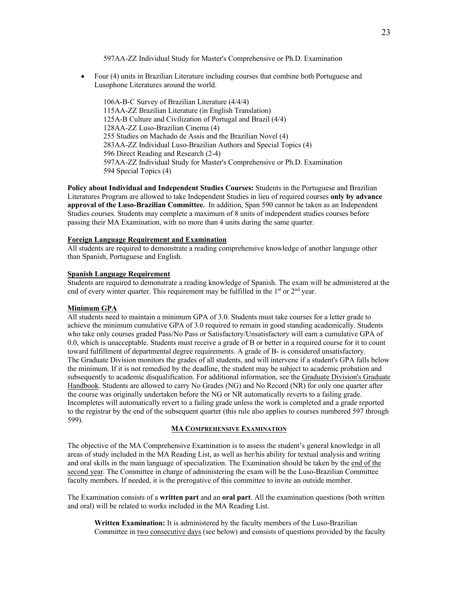597AA-ZZ Individual Study for Master's Comprehensive or Ph.D. Examination

• Four (4) units in Brazilian Literature including courses that combine both Portuguese and Lusophone Literatures around the world.

106A-B-C Survey of Brazilian Literature (4/4/4) 115AA-ZZ Brazilian Literature (in English Translation) 125A-B Culture and Civilization of Portugal and Brazil (4/4) 128AA-ZZ Luso-Brazilian Cinema (4) 255 Studies on Machado de Assis and the Brazilian Novel (4) 283AA-ZZ Individual Luso-Brazilian Authors and Special Topics (4) 596 Direct Reading and Research (2-4) 597AA-ZZ Individual Study for Master's Comprehensive or Ph.D. Examination 594 Special Topics (4)

**Policy about Individual and Independent Studies Courses:** Students in the Portuguese and Brazilian Literatures Program are allowed to take Independent Studies in lieu of required courses **only by advance approval of the Luso-Brazilian Committee.** In addition, Span 590 cannot be taken as an Independent Studies courses. Students may complete a maximum of 8 units of independent studies courses before passing their MA Examination, with no more than 4 units during the same quarter.

#### **Foreign Language Requirement and Examination**

All students are required to demonstrate a reading comprehensive knowledge of another language other than Spanish, Portuguese and English.

#### **Spanish Language Requirement**

Students are required to demonstrate a reading knowledge of Spanish. The exam will be administered at the end of every winter quarter. This requirement may be fulfilled in the  $1<sup>st</sup>$  or  $2<sup>nd</sup>$  year.

#### **Minimum GPA**

All students need to maintain a minimum GPA of 3.0. Students must take courses for a letter grade to achieve the minimum cumulative GPA of 3.0 required to remain in good standing academically. Students who take only courses graded Pass/No Pass or Satisfactory/Unsatisfactory will earn a cumulative GPA of 0.0, which is unacceptable. Students must receive a grade of B or better in a required course for it to count toward fulfillment of departmental degree requirements. A grade of B- is considered unsatisfactory. The Graduate Division monitors the grades of all students, and will intervene if a student's GPA falls below the minimum. If it is not remedied by the deadline, the student may be subject to academic probation and subsequently to academic disqualification. For additional information, see the Graduate Division's Graduate Handbook. Students are allowed to carry No Grades (NG) and No Record (NR) for only one quarter after the course was originally undertaken before the NG or NR automatically reverts to a failing grade. Incompletes will automatically revert to a failing grade unless the work is completed and a grade reported to the registrar by the end of the subsequent quarter (this rule also applies to courses numbered 597 through 599).

#### **MA COMPREHENSIVE EXAMINATION**

The objective of the MA Comprehensive Examination is to assess the student's general knowledge in all areas of study included in the MA Reading List, as well as her/his ability for textual analysis and writing and oral skills in the main language of specialization. The Examination should be taken by the end of the second year. The Committee in charge of administering the exam will be the Luso-Brazilian Committee faculty members. If needed, it is the prerogative of this committee to invite an outside member.

The Examination consists of a **written part** and an **oral part**. All the examination questions (both written and oral) will be related to works included in the MA Reading List.

**Written Examination:** It is administered by the faculty members of the Luso-Brazilian Committee in two consecutive days (see below) and consists of questions provided by the faculty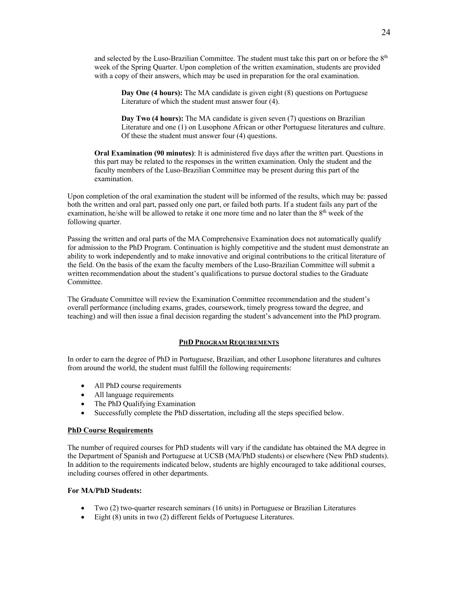and selected by the Luso-Brazilian Committee. The student must take this part on or before the 8<sup>th</sup> week of the Spring Quarter. Upon completion of the written examination, students are provided with a copy of their answers, which may be used in preparation for the oral examination.

**Day One (4 hours):** The MA candidate is given eight (8) questions on Portuguese Literature of which the student must answer four (4).

**Day Two (4 hours):** The MA candidate is given seven (7) questions on Brazilian Literature and one (1) on Lusophone African or other Portuguese literatures and culture. Of these the student must answer four (4) questions.

**Oral Examination (90 minutes)**: It is administered five days after the written part. Questions in this part may be related to the responses in the written examination. Only the student and the faculty members of the Luso-Brazilian Committee may be present during this part of the examination.

Upon completion of the oral examination the student will be informed of the results, which may be: passed both the written and oral part, passed only one part, or failed both parts. If a student fails any part of the examination, he/she will be allowed to retake it one more time and no later than the 8<sup>th</sup> week of the following quarter.

Passing the written and oral parts of the MA Comprehensive Examination does not automatically qualify for admission to the PhD Program. Continuation is highly competitive and the student must demonstrate an ability to work independently and to make innovative and original contributions to the critical literature of the field. On the basis of the exam the faculty members of the Luso-Brazilian Committee will submit a written recommendation about the student's qualifications to pursue doctoral studies to the Graduate Committee.

The Graduate Committee will review the Examination Committee recommendation and the student's overall performance (including exams, grades, coursework, timely progress toward the degree, and teaching) and will then issue a final decision regarding the student's advancement into the PhD program.

#### **PHD PROGRAM REQUIREMENTS**

In order to earn the degree of PhD in Portuguese, Brazilian, and other Lusophone literatures and cultures from around the world, the student must fulfill the following requirements:

- All PhD course requirements
- All language requirements
- The PhD Qualifying Examination
- Successfully complete the PhD dissertation, including all the steps specified below.

#### **PhD Course Requirements**

The number of required courses for PhD students will vary if the candidate has obtained the MA degree in the Department of Spanish and Portuguese at UCSB (MA/PhD students) or elsewhere (New PhD students). In addition to the requirements indicated below, students are highly encouraged to take additional courses, including courses offered in other departments.

# **For MA/PhD Students:**

- Two (2) two-quarter research seminars (16 units) in Portuguese or Brazilian Literatures
- Eight (8) units in two (2) different fields of Portuguese Literatures.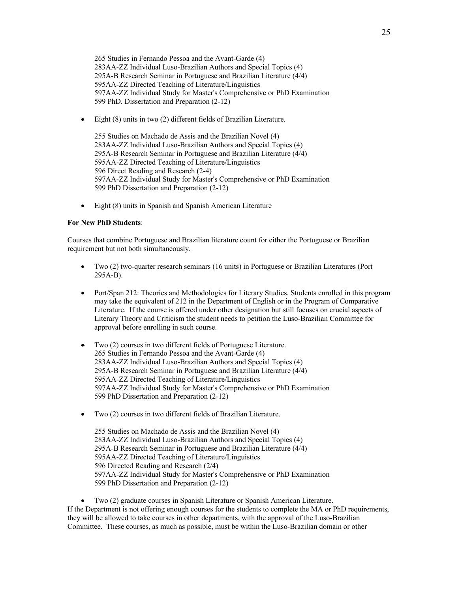265 Studies in Fernando Pessoa and the Avant-Garde (4) 283AA-ZZ Individual Luso-Brazilian Authors and Special Topics (4) 295A-B Research Seminar in Portuguese and Brazilian Literature (4/4) 595AA-ZZ Directed Teaching of Literature/Linguistics 597AA-ZZ Individual Study for Master's Comprehensive or PhD Examination 599 PhD. Dissertation and Preparation (2-12)

• Eight (8) units in two (2) different fields of Brazilian Literature.

255 Studies on Machado de Assis and the Brazilian Novel (4) 283AA-ZZ Individual Luso-Brazilian Authors and Special Topics (4) 295A-B Research Seminar in Portuguese and Brazilian Literature (4/4) 595AA-ZZ Directed Teaching of Literature/Linguistics 596 Direct Reading and Research (2-4) 597AA-ZZ Individual Study for Master's Comprehensive or PhD Examination 599 PhD Dissertation and Preparation (2-12)

• Eight (8) units in Spanish and Spanish American Literature

#### **For New PhD Students**:

Courses that combine Portuguese and Brazilian literature count for either the Portuguese or Brazilian requirement but not both simultaneously.

- Two (2) two-quarter research seminars (16 units) in Portuguese or Brazilian Literatures (Port 295A-B).
- Port/Span 212: Theories and Methodologies for Literary Studies. Students enrolled in this program may take the equivalent of 212 in the Department of English or in the Program of Comparative Literature. If the course is offered under other designation but still focuses on crucial aspects of Literary Theory and Criticism the student needs to petition the Luso-Brazilian Committee for approval before enrolling in such course.
- Two (2) courses in two different fields of Portuguese Literature. 265 Studies in Fernando Pessoa and the Avant-Garde (4) 283AA-ZZ Individual Luso-Brazilian Authors and Special Topics (4) 295A-B Research Seminar in Portuguese and Brazilian Literature (4/4) 595AA-ZZ Directed Teaching of Literature/Linguistics 597AA-ZZ Individual Study for Master's Comprehensive or PhD Examination 599 PhD Dissertation and Preparation (2-12)
- Two (2) courses in two different fields of Brazilian Literature.

255 Studies on Machado de Assis and the Brazilian Novel (4) 283AA-ZZ Individual Luso-Brazilian Authors and Special Topics (4) 295A-B Research Seminar in Portuguese and Brazilian Literature (4/4) 595AA-ZZ Directed Teaching of Literature/Linguistics 596 Directed Reading and Research (2/4) 597AA-ZZ Individual Study for Master's Comprehensive or PhD Examination 599 PhD Dissertation and Preparation (2-12)

• Two (2) graduate courses in Spanish Literature or Spanish American Literature. If the Department is not offering enough courses for the students to complete the MA or PhD requirements, they will be allowed to take courses in other departments, with the approval of the Luso-Brazilian Committee. These courses, as much as possible, must be within the Luso-Brazilian domain or other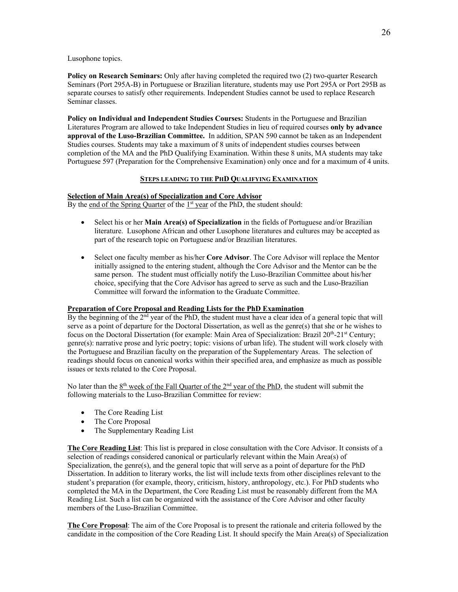Lusophone topics.

**Policy on Research Seminars:** Only after having completed the required two (2) two-quarter Research Seminars (Port 295A-B) in Portuguese or Brazilian literature, students may use Port 295A or Port 295B as separate courses to satisfy other requirements. Independent Studies cannot be used to replace Research Seminar classes.

**Policy on Individual and Independent Studies Courses:** Students in the Portuguese and Brazilian Literatures Program are allowed to take Independent Studies in lieu of required courses **only by advance approval of the Luso-Brazilian Committee.** In addition, SPAN 590 cannot be taken as an Independent Studies courses. Students may take a maximum of 8 units of independent studies courses between completion of the MA and the PhD Qualifying Examination. Within these 8 units, MA students may take Portuguese 597 (Preparation for the Comprehensive Examination) only once and for a maximum of 4 units.

# **STEPS LEADING TO THE PHD QUALIFYING EXAMINATION**

# **Selection of Main Area(s) of Specialization and Core Advisor**

By the end of the Spring Quarter of the  $1<sup>st</sup>$  year of the PhD, the student should:

- Select his or her **Main Area(s) of Specialization** in the fields of Portuguese and/or Brazilian literature. Lusophone African and other Lusophone literatures and cultures may be accepted as part of the research topic on Portuguese and/or Brazilian literatures.
- Select one faculty member as his/her **Core Advisor**. The Core Advisor will replace the Mentor initially assigned to the entering student, although the Core Advisor and the Mentor can be the same person. The student must officially notify the Luso-Brazilian Committee about his/her choice, specifying that the Core Advisor has agreed to serve as such and the Luso-Brazilian Committee will forward the information to the Graduate Committee.

# **Preparation of Core Proposal and Reading Lists for the PhD Examination**

By the beginning of the 2<sup>nd</sup> year of the PhD, the student must have a clear idea of a general topic that will serve as a point of departure for the Doctoral Dissertation, as well as the genre(s) that she or he wishes to focus on the Doctoral Dissertation (for example: Main Area of Specialization: Brazil  $20^{th}$ - $21^{st}$  Century; genre(s): narrative prose and lyric poetry; topic: visions of urban life). The student will work closely with the Portuguese and Brazilian faculty on the preparation of the Supplementary Areas. The selection of readings should focus on canonical works within their specified area, and emphasize as much as possible issues or texts related to the Core Proposal.

No later than the  $8<sup>th</sup>$  week of the Fall Quarter of the  $2<sup>nd</sup>$  year of the PhD, the student will submit the following materials to the Luso-Brazilian Committee for review:

- The Core Reading List
- The Core Proposal
- The Supplementary Reading List

**The Core Reading List**: This list is prepared in close consultation with the Core Advisor. It consists of a selection of readings considered canonical or particularly relevant within the Main Area(s) of Specialization, the genre(s), and the general topic that will serve as a point of departure for the PhD Dissertation. In addition to literary works, the list will include texts from other disciplines relevant to the student's preparation (for example, theory, criticism, history, anthropology, etc.). For PhD students who completed the MA in the Department, the Core Reading List must be reasonably different from the MA Reading List. Such a list can be organized with the assistance of the Core Advisor and other faculty members of the Luso-Brazilian Committee.

**The Core Proposal**: The aim of the Core Proposal is to present the rationale and criteria followed by the candidate in the composition of the Core Reading List. It should specify the Main Area(s) of Specialization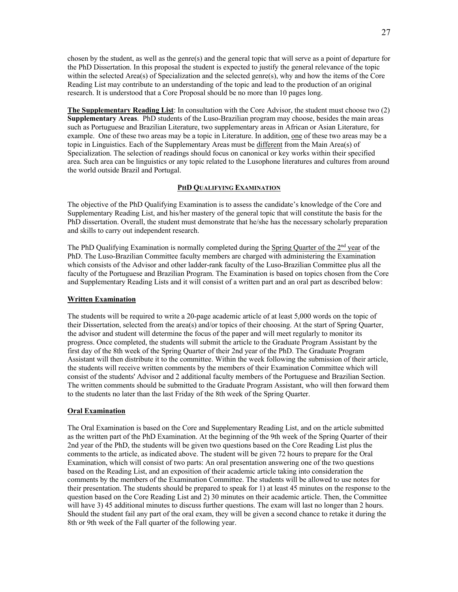chosen by the student, as well as the genre(s) and the general topic that will serve as a point of departure for the PhD Dissertation. In this proposal the student is expected to justify the general relevance of the topic within the selected Area(s) of Specialization and the selected genre(s), why and how the items of the Core Reading List may contribute to an understanding of the topic and lead to the production of an original research. It is understood that a Core Proposal should be no more than 10 pages long.

**The Supplementary Reading List**: In consultation with the Core Advisor, the student must choose two (2) **Supplementary Areas**. PhD students of the Luso-Brazilian program may choose, besides the main areas such as Portuguese and Brazilian Literature, two supplementary areas in African or Asian Literature, for example. One of these two areas may be a topic in Literature. In addition, one of these two areas may be a topic in Linguistics. Each of the Supplementary Areas must be different from the Main Area(s) of Specialization. The selection of readings should focus on canonical or key works within their specified area. Such area can be linguistics or any topic related to the Lusophone literatures and cultures from around the world outside Brazil and Portugal.

#### **PHD QUALIFYING EXAMINATION**

The objective of the PhD Qualifying Examination is to assess the candidate's knowledge of the Core and Supplementary Reading List, and his/her mastery of the general topic that will constitute the basis for the PhD dissertation. Overall, the student must demonstrate that he/she has the necessary scholarly preparation and skills to carry out independent research.

The PhD Qualifying Examination is normally completed during the Spring Quarter of the 2<sup>nd</sup> year of the PhD. The Luso-Brazilian Committee faculty members are charged with administering the Examination which consists of the Advisor and other ladder-rank faculty of the Luso-Brazilian Committee plus all the faculty of the Portuguese and Brazilian Program. The Examination is based on topics chosen from the Core and Supplementary Reading Lists and it will consist of a written part and an oral part as described below:

#### **Written Examination**

The students will be required to write a 20-page academic article of at least 5,000 words on the topic of their Dissertation, selected from the area(s) and/or topics of their choosing. At the start of Spring Quarter, the advisor and student will determine the focus of the paper and will meet regularly to monitor its progress. Once completed, the students will submit the article to the Graduate Program Assistant by the first day of the 8th week of the Spring Quarter of their 2nd year of the PhD. The Graduate Program Assistant will then distribute it to the committee. Within the week following the submission of their article, the students will receive written comments by the members of their Examination Committee which will consist of the students' Advisor and 2 additional faculty members of the Portuguese and Brazilian Section. The written comments should be submitted to the Graduate Program Assistant, who will then forward them to the students no later than the last Friday of the 8th week of the Spring Quarter.

#### **Oral Examination**

The Oral Examination is based on the Core and Supplementary Reading List, and on the article submitted as the written part of the PhD Examination. At the beginning of the 9th week of the Spring Quarter of their 2nd year of the PhD, the students will be given two questions based on the Core Reading List plus the comments to the article, as indicated above. The student will be given 72 hours to prepare for the Oral Examination, which will consist of two parts: An oral presentation answering one of the two questions based on the Reading List, and an exposition of their academic article taking into consideration the comments by the members of the Examination Committee. The students will be allowed to use notes for their presentation. The students should be prepared to speak for 1) at least 45 minutes on the response to the question based on the Core Reading List and 2) 30 minutes on their academic article. Then, the Committee will have 3) 45 additional minutes to discuss further questions. The exam will last no longer than 2 hours. Should the student fail any part of the oral exam, they will be given a second chance to retake it during the 8th or 9th week of the Fall quarter of the following year.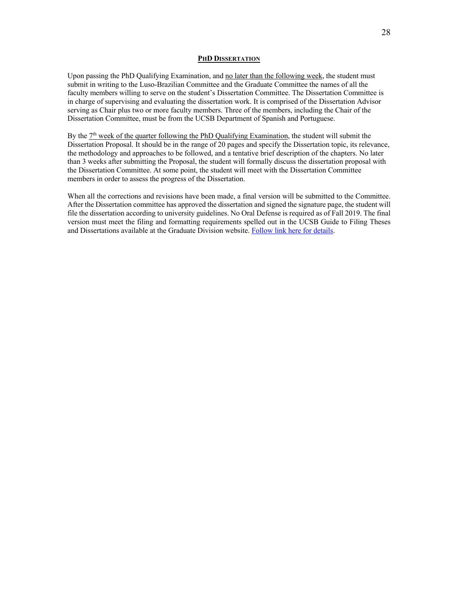#### **PHD DISSERTATION**

Upon passing the PhD Qualifying Examination, and no later than the following week, the student must submit in writing to the Luso-Brazilian Committee and the Graduate Committee the names of all the faculty members willing to serve on the student's Dissertation Committee. The Dissertation Committee is in charge of supervising and evaluating the dissertation work. It is comprised of the Dissertation Advisor serving as Chair plus two or more faculty members. Three of the members, including the Chair of the Dissertation Committee, must be from the UCSB Department of Spanish and Portuguese.

By the  $7<sup>th</sup>$  week of the quarter following the PhD Qualifying Examination, the student will submit the Dissertation Proposal. It should be in the range of 20 pages and specify the Dissertation topic, its relevance, the methodology and approaches to be followed, and a tentative brief description of the chapters. No later than 3 weeks after submitting the Proposal, the student will formally discuss the dissertation proposal with the Dissertation Committee. At some point, the student will meet with the Dissertation Committee members in order to assess the progress of the Dissertation.

When all the corrections and revisions have been made, a final version will be submitted to the Committee. After the Dissertation committee has approved the dissertation and signed the signature page, the student will file the dissertation according to university guidelines. No Oral Defense is required as of Fall 2019. The final version must meet the filing and formatting requirements spelled out in the UCSB Guide to Filing Theses and Dissertations available at the Graduate Division website. Follow link here for details.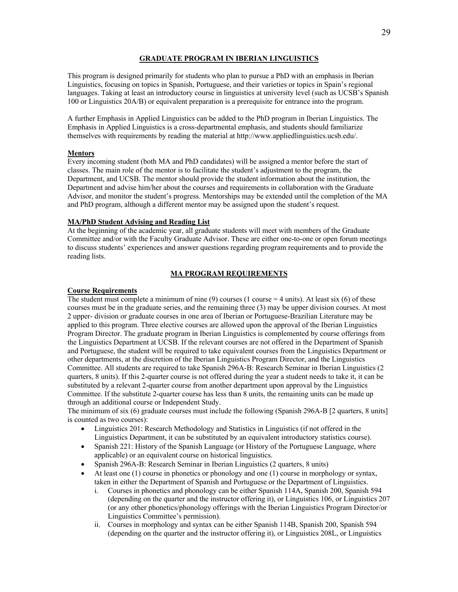#### **GRADUATE PROGRAM IN IBERIAN LINGUISTICS**

This program is designed primarily for students who plan to pursue a PhD with an emphasis in Iberian Linguistics, focusing on topics in Spanish, Portuguese, and their varieties or topics in Spain's regional languages. Taking at least an introductory course in linguistics at university level (such as UCSB's Spanish 100 or Linguistics 20A/B) or equivalent preparation is a prerequisite for entrance into the program.

A further Emphasis in Applied Linguistics can be added to the PhD program in Iberian Linguistics. The Emphasis in Applied Linguistics is a cross-departmental emphasis, and students should familiarize themselves with requirements by reading the material at http://www.appliedlinguistics.ucsb.edu/.

#### **Mentors**

Every incoming student (both MA and PhD candidates) will be assigned a mentor before the start of classes. The main role of the mentor is to facilitate the student's adjustment to the program, the Department, and UCSB. The mentor should provide the student information about the institution, the Department and advise him/her about the courses and requirements in collaboration with the Graduate Advisor, and monitor the student's progress. Mentorships may be extended until the completion of the MA and PhD program, although a different mentor may be assigned upon the student's request.

#### **MA/PhD Student Advising and Reading List**

At the beginning of the academic year, all graduate students will meet with members of the Graduate Committee and/or with the Faculty Graduate Advisor. These are either one-to-one or open forum meetings to discuss students' experiences and answer questions regarding program requirements and to provide the reading lists.

#### **MA PROGRAM REQUIREMENTS**

# **Course Requirements**

The student must complete a minimum of nine  $(9)$  courses (1 course = 4 units). At least six  $(6)$  of these courses must be in the graduate series, and the remaining three (3) may be upper division courses. At most 2 upper- division or graduate courses in one area of Iberian or Portuguese-Brazilian Literature may be applied to this program. Three elective courses are allowed upon the approval of the Iberian Linguistics Program Director. The graduate program in Iberian Linguistics is complemented by course offerings from the Linguistics Department at UCSB. If the relevant courses are not offered in the Department of Spanish and Portuguese, the student will be required to take equivalent courses from the Linguistics Department or other departments, at the discretion of the Iberian Linguistics Program Director, and the Linguistics Committee. All students are required to take Spanish 296A-B: Research Seminar in Iberian Linguistics (2 quarters, 8 units). If this 2-quarter course is not offered during the year a student needs to take it, it can be substituted by a relevant 2-quarter course from another department upon approval by the Linguistics Committee. If the substitute 2-quarter course has less than 8 units, the remaining units can be made up through an additional course or Independent Study.

The minimum of six (6) graduate courses must include the following (Spanish 296A-B [2 quarters, 8 units] is counted as two courses):

- Linguistics 201: Research Methodology and Statistics in Linguistics (if not offered in the Linguistics Department, it can be substituted by an equivalent introductory statistics course).
- Spanish 221: History of the Spanish Language (or History of the Portuguese Language, where applicable) or an equivalent course on historical linguistics.
- Spanish 296A-B: Research Seminar in Iberian Linguistics (2 quarters, 8 units)
- At least one (1) course in phonetics or phonology and one (1) course in morphology or syntax, taken in either the Department of Spanish and Portuguese or the Department of Linguistics.
	- i. Courses in phonetics and phonology can be either Spanish 114A, Spanish 200, Spanish 594 (depending on the quarter and the instructor offering it), or Linguistics 106, or Linguistics 207 (or any other phonetics/phonology offerings with the Iberian Linguistics Program Director/or Linguistics Committee's permission).
	- ii. Courses in morphology and syntax can be either Spanish 114B, Spanish 200, Spanish 594 (depending on the quarter and the instructor offering it), or Linguistics 208L, or Linguistics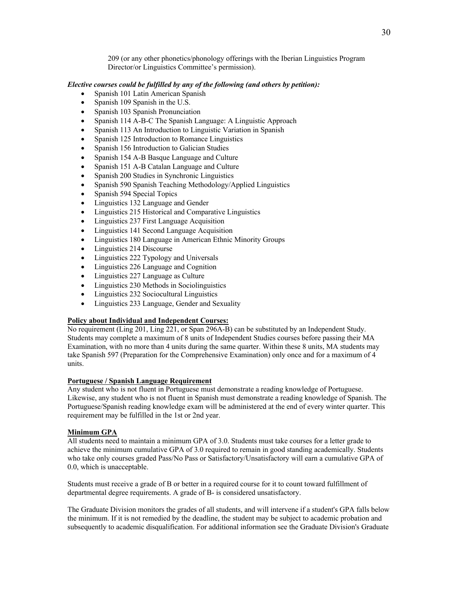209 (or any other phonetics/phonology offerings with the Iberian Linguistics Program Director/or Linguistics Committee's permission).

# *Elective courses could be fulfilled by any of the following (and others by petition):*

- Spanish 101 Latin American Spanish
- Spanish 109 Spanish in the U.S.
- Spanish 103 Spanish Pronunciation
- Spanish 114 A-B-C The Spanish Language: A Linguistic Approach
- Spanish 113 An Introduction to Linguistic Variation in Spanish
- Spanish 125 Introduction to Romance Linguistics
- Spanish 156 Introduction to Galician Studies
- Spanish 154 A-B Basque Language and Culture
- Spanish 151 A-B Catalan Language and Culture
- Spanish 200 Studies in Synchronic Linguistics
- Spanish 590 Spanish Teaching Methodology/Applied Linguistics
- Spanish 594 Special Topics
- Linguistics 132 Language and Gender
- Linguistics 215 Historical and Comparative Linguistics
- Linguistics 237 First Language Acquisition
- Linguistics 141 Second Language Acquisition
- Linguistics 180 Language in American Ethnic Minority Groups
- Linguistics 214 Discourse
- Linguistics 222 Typology and Universals
- Linguistics 226 Language and Cognition
- Linguistics 227 Language as Culture
- Linguistics 230 Methods in Sociolinguistics
- Linguistics 232 Sociocultural Linguistics
- Linguistics 233 Language, Gender and Sexuality

# **Policy about Individual and Independent Courses:**

No requirement (Ling 201, Ling 221, or Span 296A-B) can be substituted by an Independent Study. Students may complete a maximum of 8 units of Independent Studies courses before passing their MA Examination, with no more than 4 units during the same quarter. Within these 8 units, MA students may take Spanish 597 (Preparation for the Comprehensive Examination) only once and for a maximum of 4 units.

#### **Portuguese / Spanish Language Requirement**

Any student who is not fluent in Portuguese must demonstrate a reading knowledge of Portuguese. Likewise, any student who is not fluent in Spanish must demonstrate a reading knowledge of Spanish. The Portuguese/Spanish reading knowledge exam will be administered at the end of every winter quarter. This requirement may be fulfilled in the 1st or 2nd year.

# **Minimum GPA**

All students need to maintain a minimum GPA of 3.0. Students must take courses for a letter grade to achieve the minimum cumulative GPA of 3.0 required to remain in good standing academically. Students who take only courses graded Pass/No Pass or Satisfactory/Unsatisfactory will earn a cumulative GPA of 0.0, which is unacceptable.

Students must receive a grade of B or better in a required course for it to count toward fulfillment of departmental degree requirements. A grade of B- is considered unsatisfactory.

The Graduate Division monitors the grades of all students, and will intervene if a student's GPA falls below the minimum. If it is not remedied by the deadline, the student may be subject to academic probation and subsequently to academic disqualification. For additional information see the Graduate Division's Graduate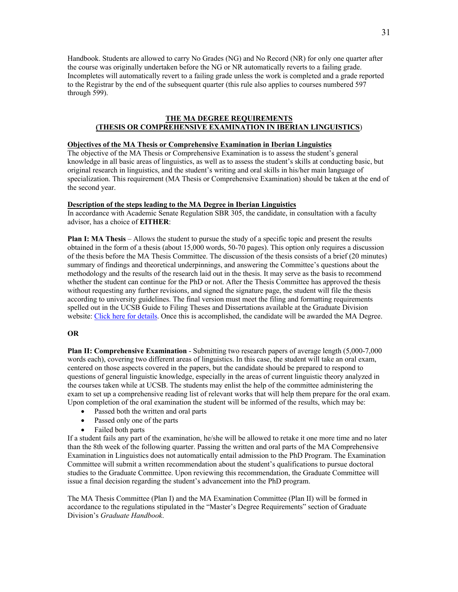Handbook. Students are allowed to carry No Grades (NG) and No Record (NR) for only one quarter after the course was originally undertaken before the NG or NR automatically reverts to a failing grade. Incompletes will automatically revert to a failing grade unless the work is completed and a grade reported to the Registrar by the end of the subsequent quarter (this rule also applies to courses numbered 597 through 599).

# **THE MA DEGREE REQUIREMENTS (THESIS OR COMPREHENSIVE EXAMINATION IN IBERIAN LINGUISTICS**)

# **Objectives of the MA Thesis or Comprehensive Examination in Iberian Linguistics**

The objective of the MA Thesis or Comprehensive Examination is to assess the student's general knowledge in all basic areas of linguistics, as well as to assess the student's skills at conducting basic, but original research in linguistics, and the student's writing and oral skills in his/her main language of specialization. This requirement (MA Thesis or Comprehensive Examination) should be taken at the end of the second year.

#### **Description of the steps leading to the MA Degree in Iberian Linguistics**

In accordance with Academic Senate Regulation SBR 305, the candidate, in consultation with a faculty advisor, has a choice of **EITHER**:

**Plan I: MA Thesis** – Allows the student to pursue the study of a specific topic and present the results obtained in the form of a thesis (about 15,000 words, 50-70 pages). This option only requires a discussion of the thesis before the MA Thesis Committee. The discussion of the thesis consists of a brief (20 minutes) summary of findings and theoretical underpinnings, and answering the Committee's questions about the methodology and the results of the research laid out in the thesis. It may serve as the basis to recommend whether the student can continue for the PhD or not. After the Thesis Committee has approved the thesis without requesting any further revisions, and signed the signature page, the student will file the thesis according to university guidelines. The final version must meet the filing and formatting requirements spelled out in the UCSB Guide to Filing Theses and Dissertations available at the Graduate Division website: Click here for details. Once this is accomplished, the candidate will be awarded the MA Degree.

#### **OR**

**Plan II: Comprehensive Examination** - Submitting two research papers of average length (5,000-7,000 words each), covering two different areas of linguistics. In this case, the student will take an oral exam, centered on those aspects covered in the papers, but the candidate should be prepared to respond to questions of general linguistic knowledge, especially in the areas of current linguistic theory analyzed in the courses taken while at UCSB. The students may enlist the help of the committee administering the exam to set up a comprehensive reading list of relevant works that will help them prepare for the oral exam. Upon completion of the oral examination the student will be informed of the results, which may be:

- Passed both the written and oral parts
- Passed only one of the parts
- Failed both parts

If a student fails any part of the examination, he/she will be allowed to retake it one more time and no later than the 8th week of the following quarter. Passing the written and oral parts of the MA Comprehensive Examination in Linguistics does not automatically entail admission to the PhD Program. The Examination Committee will submit a written recommendation about the student's qualifications to pursue doctoral studies to the Graduate Committee. Upon reviewing this recommendation, the Graduate Committee will issue a final decision regarding the student's advancement into the PhD program.

The MA Thesis Committee (Plan I) and the MA Examination Committee (Plan II) will be formed in accordance to the regulations stipulated in the "Master's Degree Requirements" section of Graduate Division's *Graduate Handbook*.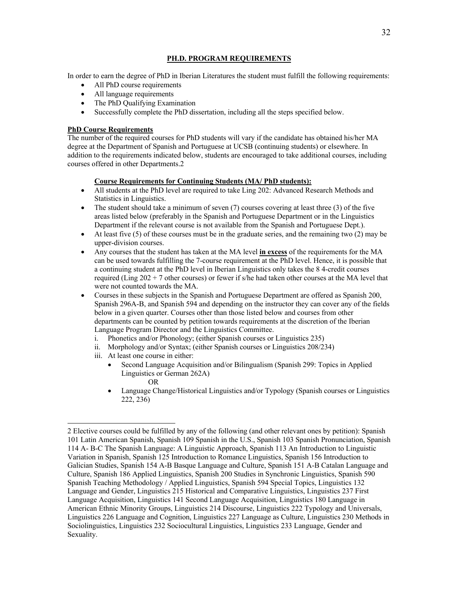# **PH.D. PROGRAM REQUIREMENTS**

In order to earn the degree of PhD in Iberian Literatures the student must fulfill the following requirements:

- All PhD course requirements
- All language requirements
- The PhD Qualifying Examination
- Successfully complete the PhD dissertation, including all the steps specified below.

# **PhD Course Requirements**

The number of the required courses for PhD students will vary if the candidate has obtained his/her MA degree at the Department of Spanish and Portuguese at UCSB (continuing students) or elsewhere. In addition to the requirements indicated below, students are encouraged to take additional courses, including courses offered in other Departments.2

# **Course Requirements for Continuing Students (MA/ PhD students):**

- All students at the PhD level are required to take Ling 202: Advanced Research Methods and Statistics in Linguistics.
- The student should take a minimum of seven  $(7)$  courses covering at least three  $(3)$  of the five areas listed below (preferably in the Spanish and Portuguese Department or in the Linguistics Department if the relevant course is not available from the Spanish and Portuguese Dept.).
- At least five  $(5)$  of these courses must be in the graduate series, and the remaining two  $(2)$  may be upper-division courses.
- Any courses that the student has taken at the MA level **in excess** of the requirements for the MA can be used towards fulfilling the 7-course requirement at the PhD level. Hence, it is possible that a continuing student at the PhD level in Iberian Linguistics only takes the 8 4-credit courses required (Ling 202 + 7 other courses) or fewer if s/he had taken other courses at the MA level that were not counted towards the MA.
- Courses in these subjects in the Spanish and Portuguese Department are offered as Spanish 200, Spanish 296A-B, and Spanish 594 and depending on the instructor they can cover any of the fields below in a given quarter. Courses other than those listed below and courses from other departments can be counted by petition towards requirements at the discretion of the Iberian Language Program Director and the Linguistics Committee.
	- i. Phonetics and/or Phonology; (either Spanish courses or Linguistics 235)
	- ii. Morphology and/or Syntax; (either Spanish courses or Linguistics 208/234)
	- iii. At least one course in either:
		- Second Language Acquisition and/or Bilingualism (Spanish 299: Topics in Applied Linguistics or German 262A) OR
		- Language Change/Historical Linguistics and/or Typology (Spanish courses or Linguistics 222, 236)

<sup>2</sup> Elective courses could be fulfilled by any of the following (and other relevant ones by petition): Spanish 101 Latin American Spanish, Spanish 109 Spanish in the U.S., Spanish 103 Spanish Pronunciation, Spanish 114 A- B-C The Spanish Language: A Linguistic Approach, Spanish 113 An Introduction to Linguistic Variation in Spanish, Spanish 125 Introduction to Romance Linguistics, Spanish 156 Introduction to Galician Studies, Spanish 154 A-B Basque Language and Culture, Spanish 151 A-B Catalan Language and Culture, Spanish 186 Applied Linguistics, Spanish 200 Studies in Synchronic Linguistics, Spanish 590 Spanish Teaching Methodology / Applied Linguistics, Spanish 594 Special Topics, Linguistics 132 Language and Gender, Linguistics 215 Historical and Comparative Linguistics, Linguistics 237 First Language Acquisition, Linguistics 141 Second Language Acquisition, Linguistics 180 Language in American Ethnic Minority Groups, Linguistics 214 Discourse, Linguistics 222 Typology and Universals, Linguistics 226 Language and Cognition, Linguistics 227 Language as Culture, Linguistics 230 Methods in Sociolinguistics, Linguistics 232 Sociocultural Linguistics, Linguistics 233 Language, Gender and Sexuality.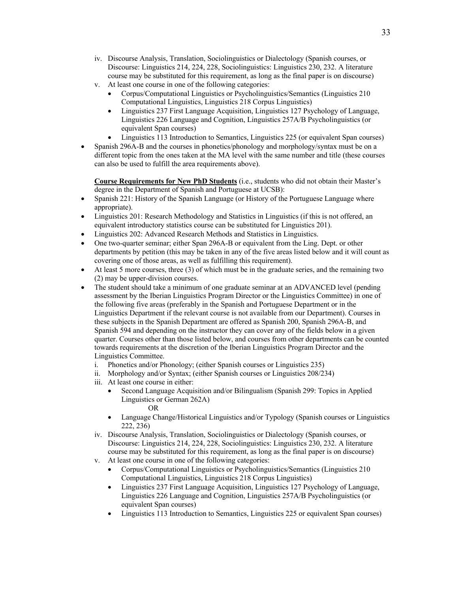- iv. Discourse Analysis, Translation, Sociolinguistics or Dialectology (Spanish courses, or Discourse: Linguistics 214, 224, 228, Sociolinguistics: Linguistics 230, 232. A literature course may be substituted for this requirement, as long as the final paper is on discourse)
- v. At least one course in one of the following categories:
	- Corpus/Computational Linguistics or Psycholinguistics/Semantics (Linguistics 210 Computational Linguistics, Linguistics 218 Corpus Linguistics)
	- Linguistics 237 First Language Acquisition, Linguistics 127 Psychology of Language, Linguistics 226 Language and Cognition, Linguistics 257A/B Psycholinguistics (or equivalent Span courses)
	- Linguistics 113 Introduction to Semantics, Linguistics 225 (or equivalent Span courses)
- Spanish 296A-B and the courses in phonetics/phonology and morphology/syntax must be on a different topic from the ones taken at the MA level with the same number and title (these courses can also be used to fulfill the area requirements above).

**Course Requirements for New PhD Students** (i.e., students who did not obtain their Master's degree in the Department of Spanish and Portuguese at UCSB):

- Spanish 221: History of the Spanish Language (or History of the Portuguese Language where appropriate).
- Linguistics 201: Research Methodology and Statistics in Linguistics (if this is not offered, an equivalent introductory statistics course can be substituted for Linguistics 201).
- Linguistics 202: Advanced Research Methods and Statistics in Linguistics.
- One two-quarter seminar; either Span 296A-B or equivalent from the Ling. Dept. or other departments by petition (this may be taken in any of the five areas listed below and it will count as covering one of those areas, as well as fulfilling this requirement).
- At least 5 more courses, three (3) of which must be in the graduate series, and the remaining two (2) may be upper-division courses.
- The student should take a minimum of one graduate seminar at an ADVANCED level (pending assessment by the Iberian Linguistics Program Director or the Linguistics Committee) in one of the following five areas (preferably in the Spanish and Portuguese Department or in the Linguistics Department if the relevant course is not available from our Department). Courses in these subjects in the Spanish Department are offered as Spanish 200, Spanish 296A-B, and Spanish 594 and depending on the instructor they can cover any of the fields below in a given quarter. Courses other than those listed below, and courses from other departments can be counted towards requirements at the discretion of the Iberian Linguistics Program Director and the Linguistics Committee.
	- i. Phonetics and/or Phonology; (either Spanish courses or Linguistics 235)
	- ii. Morphology and/or Syntax; (either Spanish courses or Linguistics 208/234)
	- iii. At least one course in either:
		- Second Language Acquisition and/or Bilingualism (Spanish 299: Topics in Applied Linguistics or German 262A) OR
		- Language Change/Historical Linguistics and/or Typology (Spanish courses or Linguistics 222, 236)
	- iv. Discourse Analysis, Translation, Sociolinguistics or Dialectology (Spanish courses, or Discourse: Linguistics 214, 224, 228, Sociolinguistics: Linguistics 230, 232. A literature course may be substituted for this requirement, as long as the final paper is on discourse)
	- v. At least one course in one of the following categories:
		- Corpus/Computational Linguistics or Psycholinguistics/Semantics (Linguistics 210 Computational Linguistics, Linguistics 218 Corpus Linguistics)
		- Linguistics 237 First Language Acquisition, Linguistics 127 Psychology of Language, Linguistics 226 Language and Cognition, Linguistics 257A/B Psycholinguistics (or equivalent Span courses)
		- Linguistics 113 Introduction to Semantics, Linguistics 225 or equivalent Span courses)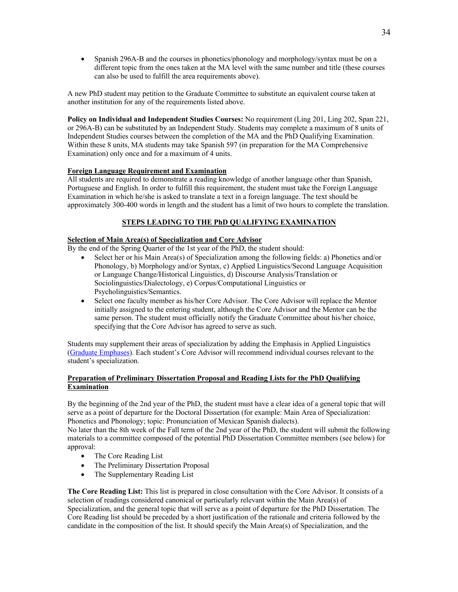• Spanish 296A-B and the courses in phonetics/phonology and morphology/syntax must be on a different topic from the ones taken at the MA level with the same number and title (these courses can also be used to fulfill the area requirements above).

A new PhD student may petition to the Graduate Committee to substitute an equivalent course taken at another institution for any of the requirements listed above.

**Policy on Individual and Independent Studies Courses:** No requirement (Ling 201, Ling 202, Span 221, or 296A-B) can be substituted by an Independent Study. Students may complete a maximum of 8 units of Independent Studies courses between the completion of the MA and the PhD Qualifying Examination. Within these 8 units, MA students may take Spanish 597 (in preparation for the MA Comprehensive Examination) only once and for a maximum of 4 units.

# **Foreign Language Requirement and Examination**

All students are required to demonstrate a reading knowledge of another language other than Spanish, Portuguese and English. In order to fulfill this requirement, the student must take the Foreign Language Examination in which he/she is asked to translate a text in a foreign language. The text should be approximately 300-400 words in length and the student has a limit of two hours to complete the translation.

# **STEPS LEADING TO THE PhD QUALIFYING EXAMINATION**

### **Selection of Main Area(s) of Specialization and Core Advisor**

By the end of the Spring Quarter of the 1st year of the PhD, the student should:

- Select her or his Main Area(s) of Specialization among the following fields: a) Phonetics and/or Phonology, b) Morphology and/or Syntax, c) Applied Linguistics/Second Language Acquisition or Language Change/Historical Linguistics, d) Discourse Analysis/Translation or Sociolinguistics/Dialectology, e) Corpus/Computational Linguistics or Psycholinguistics/Semantics.
- Select one faculty member as his/her Core Advisor. The Core Advisor will replace the Mentor initially assigned to the entering student, although the Core Advisor and the Mentor can be the same person. The student must officially notify the Graduate Committee about his/her choice, specifying that the Core Advisor has agreed to serve as such.

Students may supplement their areas of specialization by adding the Emphasis in Applied Linguistics (Graduate Emphases). Each student's Core Advisor will recommend individual courses relevant to the student's specialization.

# **Preparation of Preliminary Dissertation Proposal and Reading Lists for the PhD Qualifying Examination**

By the beginning of the 2nd year of the PhD, the student must have a clear idea of a general topic that will serve as a point of departure for the Doctoral Dissertation (for example: Main Area of Specialization: Phonetics and Phonology; topic: Pronunciation of Mexican Spanish dialects).

No later than the 8th week of the Fall term of the 2nd year of the PhD, the student will submit the following materials to a committee composed of the potential PhD Dissertation Committee members (see below) for approval:

- The Core Reading List
- The Preliminary Dissertation Proposal
- The Supplementary Reading List

**The Core Reading List:** This list is prepared in close consultation with the Core Advisor. It consists of a selection of readings considered canonical or particularly relevant within the Main Area(s) of Specialization, and the general topic that will serve as a point of departure for the PhD Dissertation. The Core Reading list should be preceded by a short justification of the rationale and criteria followed by the candidate in the composition of the list. It should specify the Main Area(s) of Specialization, and the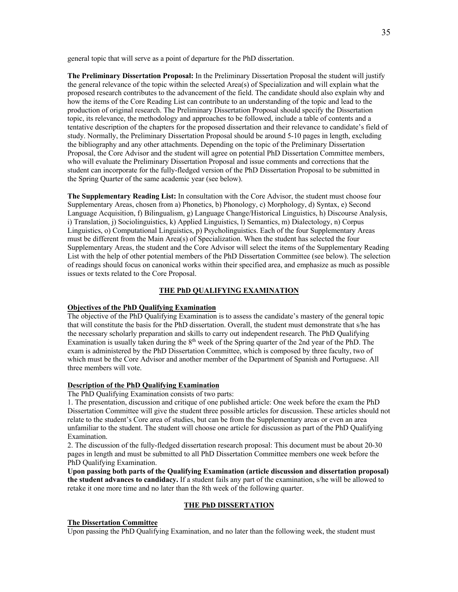general topic that will serve as a point of departure for the PhD dissertation.

**The Preliminary Dissertation Proposal:** In the Preliminary Dissertation Proposal the student will justify the general relevance of the topic within the selected Area(s) of Specialization and will explain what the proposed research contributes to the advancement of the field. The candidate should also explain why and how the items of the Core Reading List can contribute to an understanding of the topic and lead to the production of original research. The Preliminary Dissertation Proposal should specify the Dissertation topic, its relevance, the methodology and approaches to be followed, include a table of contents and a tentative description of the chapters for the proposed dissertation and their relevance to candidate's field of study. Normally, the Preliminary Dissertation Proposal should be around 5-10 pages in length, excluding the bibliography and any other attachments. Depending on the topic of the Preliminary Dissertation Proposal, the Core Advisor and the student will agree on potential PhD Dissertation Committee members, who will evaluate the Preliminary Dissertation Proposal and issue comments and corrections that the student can incorporate for the fully-fledged version of the PhD Dissertation Proposal to be submitted in the Spring Quarter of the same academic year (see below).

**The Supplementary Reading List:** In consultation with the Core Advisor, the student must choose four Supplementary Areas, chosen from a) Phonetics, b) Phonology, c) Morphology, d) Syntax, e) Second Language Acquisition, f) Bilingualism, g) Language Change/Historical Linguistics, h) Discourse Analysis, i) Translation, j) Sociolinguistics, k) Applied Linguistics, l) Semantics, m) Dialectology, n) Corpus Linguistics, o) Computational Linguistics, p) Psycholinguistics. Each of the four Supplementary Areas must be different from the Main Area(s) of Specialization. When the student has selected the four Supplementary Areas, the student and the Core Advisor will select the items of the Supplementary Reading List with the help of other potential members of the PhD Dissertation Committee (see below). The selection of readings should focus on canonical works within their specified area, and emphasize as much as possible issues or texts related to the Core Proposal.

#### **THE PhD QUALIFYING EXAMINATION**

#### **Objectives of the PhD Qualifying Examination**

The objective of the PhD Qualifying Examination is to assess the candidate's mastery of the general topic that will constitute the basis for the PhD dissertation. Overall, the student must demonstrate that s/he has the necessary scholarly preparation and skills to carry out independent research. The PhD Qualifying Examination is usually taken during the 8<sup>th</sup> week of the Spring quarter of the 2nd year of the PhD. The exam is administered by the PhD Dissertation Committee, which is composed by three faculty, two of which must be the Core Advisor and another member of the Department of Spanish and Portuguese. All three members will vote.

#### **Description of the PhD Qualifying Examination**

The PhD Qualifying Examination consists of two parts:

1. The presentation, discussion and critique of one published article: One week before the exam the PhD Dissertation Committee will give the student three possible articles for discussion. These articles should not relate to the student's Core area of studies, but can be from the Supplementary areas or even an area unfamiliar to the student. The student will choose one article for discussion as part of the PhD Qualifying Examination.

2. The discussion of the fully-fledged dissertation research proposal: This document must be about 20-30 pages in length and must be submitted to all PhD Dissertation Committee members one week before the PhD Qualifying Examination.

**Upon passing both parts of the Qualifying Examination (article discussion and dissertation proposal) the student advances to candidacy.** If a student fails any part of the examination, s/he will be allowed to retake it one more time and no later than the 8th week of the following quarter.

# **THE PhD DISSERTATION**

#### **The Dissertation Committee**

Upon passing the PhD Qualifying Examination, and no later than the following week, the student must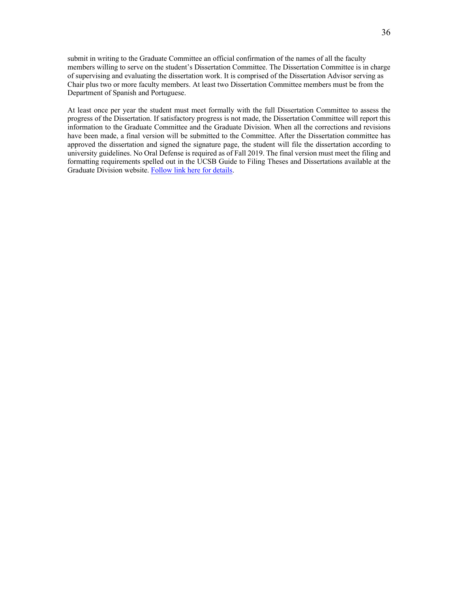submit in writing to the Graduate Committee an official confirmation of the names of all the faculty members willing to serve on the student's Dissertation Committee. The Dissertation Committee is in charge of supervising and evaluating the dissertation work. It is comprised of the Dissertation Advisor serving as Chair plus two or more faculty members. At least two Dissertation Committee members must be from the Department of Spanish and Portuguese.

At least once per year the student must meet formally with the full Dissertation Committee to assess the progress of the Dissertation. If satisfactory progress is not made, the Dissertation Committee will report this information to the Graduate Committee and the Graduate Division. When all the corrections and revisions have been made, a final version will be submitted to the Committee. After the Dissertation committee has approved the dissertation and signed the signature page, the student will file the dissertation according to university guidelines. No Oral Defense is required as of Fall 2019. The final version must meet the filing and formatting requirements spelled out in the UCSB Guide to Filing Theses and Dissertations available at the Graduate Division website. Follow link here for details.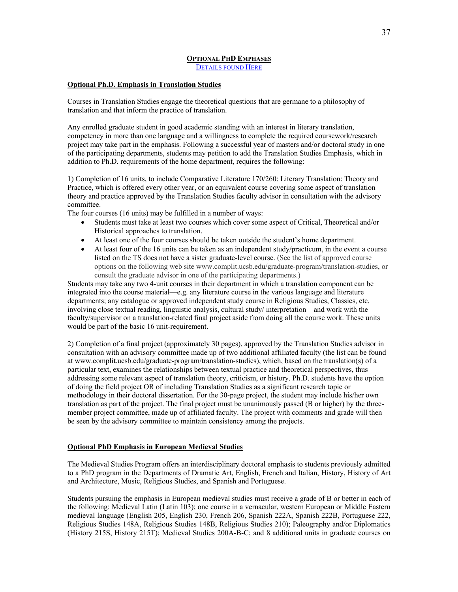# **OPTIONAL PHD EMPHASES**

DETAILS FOUND HERE

### **Optional Ph.D. Emphasis in Translation Studies**

Courses in Translation Studies engage the theoretical questions that are germane to a philosophy of translation and that inform the practice of translation.

Any enrolled graduate student in good academic standing with an interest in literary translation, competency in more than one language and a willingness to complete the required coursework/research project may take part in the emphasis. Following a successful year of masters and/or doctoral study in one of the participating departments, students may petition to add the Translation Studies Emphasis, which in addition to Ph.D. requirements of the home department, requires the following:

1) Completion of 16 units, to include Comparative Literature 170/260: Literary Translation: Theory and Practice, which is offered every other year, or an equivalent course covering some aspect of translation theory and practice approved by the Translation Studies faculty advisor in consultation with the advisory committee.

The four courses (16 units) may be fulfilled in a number of ways:

- Students must take at least two courses which cover some aspect of Critical, Theoretical and/or Historical approaches to translation.
- At least one of the four courses should be taken outside the student's home department.
- At least four of the 16 units can be taken as an independent study/practicum, in the event a course listed on the TS does not have a sister graduate-level course. (See the list of approved course options on the following web site www.complit.ucsb.edu/graduate-program/translation-studies, or consult the graduate advisor in one of the participating departments.)

Students may take any two 4-unit courses in their department in which a translation component can be integrated into the course material—e.g. any literature course in the various language and literature departments; any catalogue or approved independent study course in Religious Studies, Classics, etc. involving close textual reading, linguistic analysis, cultural study/ interpretation—and work with the faculty/supervisor on a translation-related final project aside from doing all the course work. These units would be part of the basic 16 unit-requirement.

2) Completion of a final project (approximately 30 pages), approved by the Translation Studies advisor in consultation with an advisory committee made up of two additional affiliated faculty (the list can be found at www.complit.ucsb.edu/graduate-program/translation-studies), which, based on the translation(s) of a particular text, examines the relationships between textual practice and theoretical perspectives, thus addressing some relevant aspect of translation theory, criticism, or history. Ph.D. students have the option of doing the field project OR of including Translation Studies as a significant research topic or methodology in their doctoral dissertation. For the 30-page project, the student may include his/her own translation as part of the project. The final project must be unanimously passed (B or higher) by the threemember project committee, made up of affiliated faculty. The project with comments and grade will then be seen by the advisory committee to maintain consistency among the projects.

#### **Optional PhD Emphasis in European Medieval Studies**

The Medieval Studies Program offers an interdisciplinary doctoral emphasis to students previously admitted to a PhD program in the Departments of Dramatic Art, English, French and Italian, History, History of Art and Architecture, Music, Religious Studies, and Spanish and Portuguese.

Students pursuing the emphasis in European medieval studies must receive a grade of B or better in each of the following: Medieval Latin (Latin 103); one course in a vernacular, western European or Middle Eastern medieval language (English 205, English 230, French 206, Spanish 222A, Spanish 222B, Portuguese 222, Religious Studies 148A, Religious Studies 148B, Religious Studies 210); Paleography and/or Diplomatics (History 215S, History 215T); Medieval Studies 200A-B-C; and 8 additional units in graduate courses on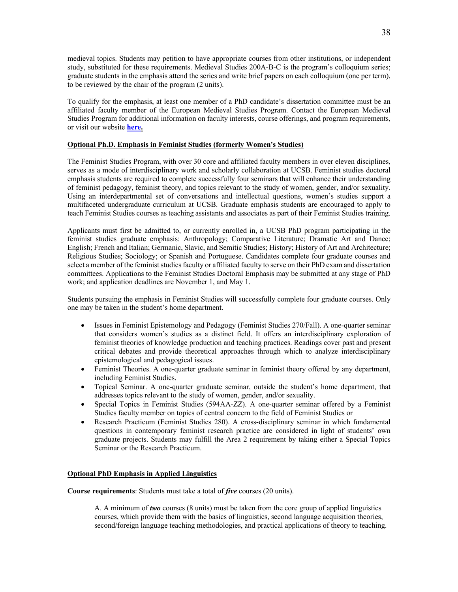medieval topics. Students may petition to have appropriate courses from other institutions, or independent study, substituted for these requirements. Medieval Studies 200A-B-C is the program's colloquium series; graduate students in the emphasis attend the series and write brief papers on each colloquium (one per term), to be reviewed by the chair of the program (2 units).

To qualify for the emphasis, at least one member of a PhD candidate's dissertation committee must be an affiliated faculty member of the European Medieval Studies Program. Contact the European Medieval Studies Program for additional information on faculty interests, course offerings, and program requirements, or visit our website **here.**

## **Optional Ph.D. Emphasis in Feminist Studies (formerly Women's Studies)**

The Feminist Studies Program, with over 30 core and affiliated faculty members in over eleven disciplines, serves as a mode of interdisciplinary work and scholarly collaboration at UCSB. Feminist studies doctoral emphasis students are required to complete successfully four seminars that will enhance their understanding of feminist pedagogy, feminist theory, and topics relevant to the study of women, gender, and/or sexuality. Using an interdepartmental set of conversations and intellectual questions, women's studies support a multifaceted undergraduate curriculum at UCSB. Graduate emphasis students are encouraged to apply to teach Feminist Studies courses as teaching assistants and associates as part of their Feminist Studies training.

Applicants must first be admitted to, or currently enrolled in, a UCSB PhD program participating in the feminist studies graduate emphasis: Anthropology; Comparative Literature; Dramatic Art and Dance; English; French and Italian; Germanic, Slavic, and Semitic Studies; History; History of Art and Architecture; Religious Studies; Sociology; or Spanish and Portuguese. Candidates complete four graduate courses and select a member of the feminist studies faculty or affiliated faculty to serve on their PhD exam and dissertation committees. Applications to the Feminist Studies Doctoral Emphasis may be submitted at any stage of PhD work; and application deadlines are November 1, and May 1.

Students pursuing the emphasis in Feminist Studies will successfully complete four graduate courses. Only one may be taken in the student's home department.

- Issues in Feminist Epistemology and Pedagogy (Feminist Studies 270/Fall). A one-quarter seminar that considers women's studies as a distinct field. It offers an interdisciplinary exploration of feminist theories of knowledge production and teaching practices. Readings cover past and present critical debates and provide theoretical approaches through which to analyze interdisciplinary epistemological and pedagogical issues.
- Feminist Theories. A one-quarter graduate seminar in feminist theory offered by any department, including Feminist Studies.
- Topical Seminar. A one-quarter graduate seminar, outside the student's home department, that addresses topics relevant to the study of women, gender, and/or sexuality.
- Special Topics in Feminist Studies (594AA-ZZ). A one-quarter seminar offered by a Feminist Studies faculty member on topics of central concern to the field of Feminist Studies or
- Research Practicum (Feminist Studies 280). A cross-disciplinary seminar in which fundamental questions in contemporary feminist research practice are considered in light of students' own graduate projects. Students may fulfill the Area 2 requirement by taking either a Special Topics Seminar or the Research Practicum.

#### **Optional PhD Emphasis in Applied Linguistics**

**Course requirements**: Students must take a total of *five* courses (20 units).

A. A minimum of *two* courses (8 units) must be taken from the core group of applied linguistics courses, which provide them with the basics of linguistics, second language acquisition theories, second/foreign language teaching methodologies, and practical applications of theory to teaching.